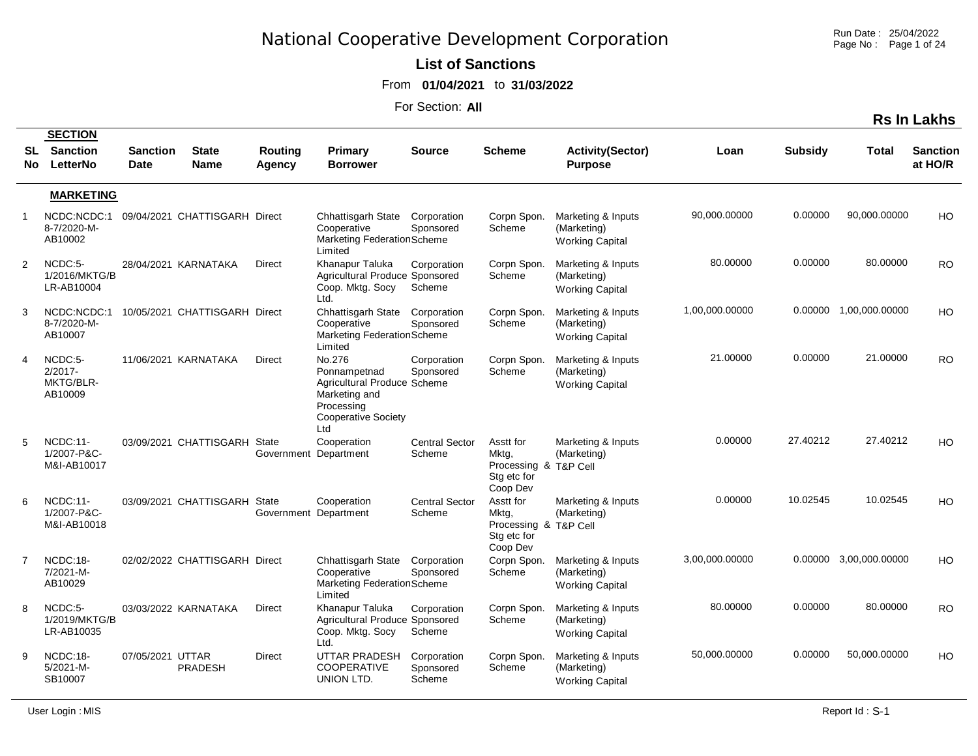Run Date : 25/04/2022 Page No : Page 1 of 24

#### **List of Sanctions**

From **01/04/2021** to **31/03/2022**

|                |                                                  |                         |                               |                                |                                                                                                                           |                                    |                                                                        |                                                             |                |                |                        | <b>Rs In Lakhs</b>         |
|----------------|--------------------------------------------------|-------------------------|-------------------------------|--------------------------------|---------------------------------------------------------------------------------------------------------------------------|------------------------------------|------------------------------------------------------------------------|-------------------------------------------------------------|----------------|----------------|------------------------|----------------------------|
| SL             | <b>SECTION</b><br><b>Sanction</b><br>No LetterNo | <b>Sanction</b><br>Date | <b>State</b><br><b>Name</b>   | <b>Routing</b><br>Agency       | Primary<br><b>Borrower</b>                                                                                                | <b>Source</b>                      | <b>Scheme</b>                                                          | <b>Activity(Sector)</b><br><b>Purpose</b>                   | Loan           | <b>Subsidy</b> | Total                  | <b>Sanction</b><br>at HO/R |
|                | <b>MARKETING</b>                                 |                         |                               |                                |                                                                                                                           |                                    |                                                                        |                                                             |                |                |                        |                            |
| $\mathbf{1}$   | NCDC:NCDC:1<br>8-7/2020-M-<br>AB10002            |                         | 09/04/2021 CHATTISGARH Direct |                                | Chhattisgarh State<br>Cooperative<br>Marketing FederationScheme<br>Limited                                                | Corporation<br>Sponsored           | Corpn Spon.<br>Scheme                                                  | Marketing & Inputs<br>(Marketing)<br><b>Working Capital</b> | 90,000.00000   | 0.00000        | 90,000.00000           | H <sub>O</sub>             |
| $\overline{2}$ | NCDC:5-<br>1/2016/MKTG/B<br>LR-AB10004           |                         | 28/04/2021 KARNATAKA          | <b>Direct</b>                  | Khanapur Taluka<br>Agricultural Produce Sponsored<br>Coop. Mktg. Socy<br>Ltd.                                             | Corporation<br>Scheme              | Corpn Spon.<br>Scheme                                                  | Marketing & Inputs<br>(Marketing)<br><b>Working Capital</b> | 80.00000       | 0.00000        | 80.00000               | <b>RO</b>                  |
| 3              | NCDC:NCDC:1<br>8-7/2020-M-<br>AB10007            |                         | 10/05/2021 CHATTISGARH Direct |                                | Chhattisgarh State Corporation<br>Cooperative<br>Marketing FederationScheme<br>Limited                                    | Sponsored                          | Corpn Spon.<br>Scheme                                                  | Marketing & Inputs<br>(Marketing)<br><b>Working Capital</b> | 1,00,000.00000 |                | 0.00000 1.00,000.00000 | HO                         |
| 4              | NCDC:5-<br>$2/2017 -$<br>MKTG/BLR-<br>AB10009    |                         | 11/06/2021 KARNATAKA          | <b>Direct</b>                  | No.276<br>Ponnampetnad<br>Agricultural Produce Scheme<br>Marketing and<br>Processing<br><b>Cooperative Society</b><br>Ltd | Corporation<br>Sponsored           | Corpn Spon.<br>Scheme                                                  | Marketing & Inputs<br>(Marketing)<br><b>Working Capital</b> | 21.00000       | 0.00000        | 21.00000               | <b>RO</b>                  |
| 5              | NCDC:11-<br>1/2007-P&C-<br>M&I-AB10017           |                         | 03/09/2021 CHATTISGARH        | State<br>Government Department | Cooperation                                                                                                               | <b>Central Sector</b><br>Scheme    | Asstt for<br>Mktg,<br>Processing & T&P Cell<br>Stg etc for<br>Coop Dev | Marketing & Inputs<br>(Marketing)                           | 0.00000        | 27.40212       | 27.40212               | H <sub>O</sub>             |
| 6              | <b>NCDC:11-</b><br>1/2007-P&C-<br>M&I-AB10018    |                         | 03/09/2021 CHATTISGARH        | State<br>Government Department | Cooperation                                                                                                               | <b>Central Sector</b><br>Scheme    | Asstt for<br>Mktg,<br>Processing & T&P Cell<br>Stg etc for<br>Coop Dev | Marketing & Inputs<br>(Marketing)                           | 0.00000        | 10.02545       | 10.02545               | HO                         |
| $\overline{7}$ | NCDC:18-<br>7/2021-M-<br>AB10029                 |                         | 02/02/2022 CHATTISGARH Direct |                                | Chhattisgarh State<br>Cooperative<br>Marketing FederationScheme<br>Limited                                                | Corporation<br>Sponsored           | Corpn Spon.<br>Scheme                                                  | Marketing & Inputs<br>(Marketing)<br><b>Working Capital</b> | 3,00,000.00000 |                | 0.00000 3,00,000.00000 | H <sub>O</sub>             |
| 8              | NCDC:5-<br>1/2019/MKTG/B<br>LR-AB10035           |                         | 03/03/2022 KARNATAKA          | <b>Direct</b>                  | Khanapur Taluka<br>Agricultural Produce Sponsored<br>Coop. Mktg. Socy<br>Ltd.                                             | Corporation<br>Scheme              | Corpn Spon.<br>Scheme                                                  | Marketing & Inputs<br>(Marketing)<br><b>Working Capital</b> | 80.00000       | 0.00000        | 80.00000               | <b>RO</b>                  |
| 9              | NCDC:18-<br>$5/2021 - M -$<br>SB10007            | 07/05/2021 UTTAR        | <b>PRADESH</b>                | <b>Direct</b>                  | UTTAR PRADESH<br><b>COOPERATIVE</b><br>UNION LTD.                                                                         | Corporation<br>Sponsored<br>Scheme | Corpn Spon.<br>Scheme                                                  | Marketing & Inputs<br>(Marketing)<br><b>Working Capital</b> | 50,000.00000   | 0.00000        | 50,000.00000           | HO                         |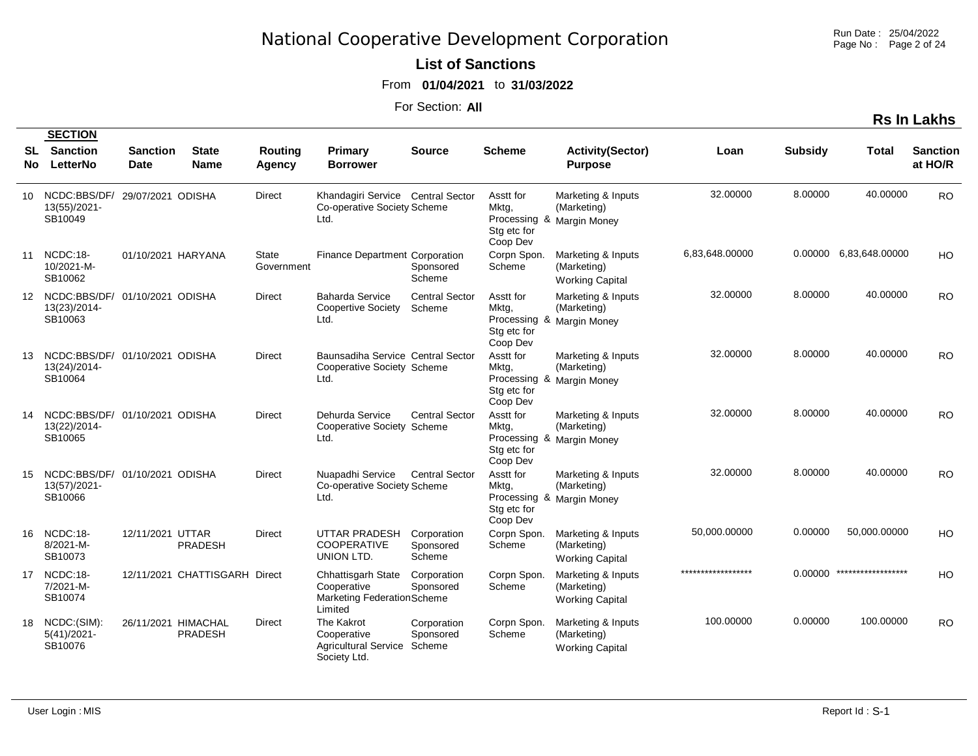Run Date : 25/04/2022 Page No: Page 2 of 24

#### **List of Sanctions**

From **01/04/2021** to **31/03/2022**

For Section: **All**

|                 | <b>SECTION</b>                                            |                                |                               |                          |                                                                                   |                                    |                                               |                                                                |                    |                |                        |                            |
|-----------------|-----------------------------------------------------------|--------------------------------|-------------------------------|--------------------------|-----------------------------------------------------------------------------------|------------------------------------|-----------------------------------------------|----------------------------------------------------------------|--------------------|----------------|------------------------|----------------------------|
| SL<br>No.       | <b>Sanction</b><br>LetterNo                               | <b>Sanction</b><br><b>Date</b> | <b>State</b><br><b>Name</b>   | <b>Routing</b><br>Agency | Primary<br><b>Borrower</b>                                                        | <b>Source</b>                      | <b>Scheme</b>                                 | <b>Activity(Sector)</b><br><b>Purpose</b>                      | Loan               | <b>Subsidy</b> | <b>Total</b>           | <b>Sanction</b><br>at HO/R |
| 10              | NCDC:BBS/DF/<br>13(55)/2021-<br>SB10049                   | 29/07/2021 ODISHA              |                               | <b>Direct</b>            | Khandagiri Service Central Sector<br>Co-operative Society Scheme<br>Ltd.          |                                    | Asstt for<br>Mktg,<br>Stg etc for<br>Coop Dev | Marketing & Inputs<br>(Marketing)<br>Processing & Margin Money | 32.00000           | 8.00000        | 40.00000               | <b>RO</b>                  |
| 11              | $NCDC:18-$<br>10/2021-M-<br>SB10062                       | 01/10/2021 HARYANA             |                               | State<br>Government      | Finance Department Corporation                                                    | Sponsored<br>Scheme                | Corpn Spon.<br>Scheme                         | Marketing & Inputs<br>(Marketing)<br><b>Working Capital</b>    | 6,83,648.00000     |                | 0.00000 6.83,648.00000 | HO                         |
| 12 <sup>2</sup> | NCDC:BBS/DF/<br>13(23)/2014-<br>SB10063                   | 01/10/2021 ODISHA              |                               | <b>Direct</b>            | <b>Baharda Service</b><br>Coopertive Society<br>Ltd.                              | <b>Central Sector</b><br>Scheme    | Asstt for<br>Mktg,<br>Stg etc for<br>Coop Dev | Marketing & Inputs<br>(Marketing)<br>Processing & Margin Money | 32.00000           | 8.00000        | 40.00000               | RO.                        |
| 13              | NCDC:BBS/DF/ 01/10/2021 ODISHA<br>13(24)/2014-<br>SB10064 |                                |                               | <b>Direct</b>            | Baunsadiha Service Central Sector<br>Cooperative Society Scheme<br>Ltd.           |                                    | Asstt for<br>Mktg,<br>Stg etc for<br>Coop Dev | Marketing & Inputs<br>(Marketing)<br>Processing & Margin Money | 32.00000           | 8.00000        | 40.00000               | <b>RO</b>                  |
| 14              | NCDC:BBS/DF/ 01/10/2021 ODISHA<br>13(22)/2014-<br>SB10065 |                                |                               | <b>Direct</b>            | Dehurda Service<br>Cooperative Society Scheme<br>Ltd.                             | <b>Central Sector</b>              | Asstt for<br>Mktg,<br>Stg etc for<br>Coop Dev | Marketing & Inputs<br>(Marketing)<br>Processing & Margin Money | 32.00000           | 8.00000        | 40.00000               | <b>RO</b>                  |
| 15              | NCDC:BBS/DF/ 01/10/2021 ODISHA<br>13(57)/2021-<br>SB10066 |                                |                               | <b>Direct</b>            | Nuapadhi Service<br>Co-operative Society Scheme<br>Ltd.                           | <b>Central Sector</b>              | Asstt for<br>Mktg,<br>Stg etc for<br>Coop Dev | Marketing & Inputs<br>(Marketing)<br>Processing & Margin Money | 32.00000           | 8.00000        | 40.00000               | <b>RO</b>                  |
| 16              | NCDC:18-<br>8/2021-M-<br>SB10073                          | 12/11/2021 UTTAR               | <b>PRADESH</b>                | <b>Direct</b>            | UTTAR PRADESH<br><b>COOPERATIVE</b><br>UNION LTD.                                 | Corporation<br>Sponsored<br>Scheme | Corpn Spon.<br>Scheme                         | Marketing & Inputs<br>(Marketing)<br><b>Working Capital</b>    | 50,000.00000       | 0.00000        | 50,000.00000           | H <sub>O</sub>             |
| 17              | NCDC:18-<br>7/2021-M-<br>SB10074                          |                                | 12/11/2021 CHATTISGARH Direct |                          | <b>Chhattisgarh State</b><br>Cooperative<br>Marketing FederationScheme<br>Limited | Corporation<br>Sponsored           | Corpn Spon.<br>Scheme                         | Marketing & Inputs<br>(Marketing)<br><b>Working Capital</b>    | ****************** | 0.00000        | ******************     | H <sub>O</sub>             |
| 18              | NCDC:(SIM):<br>$5(41)/2021 -$<br>SB10076                  | 26/11/2021 HIMACHAL            | <b>PRADESH</b>                | <b>Direct</b>            | The Kakrot<br>Cooperative<br>Agricultural Service Scheme<br>Society Ltd.          | Corporation<br>Sponsored           | Corpn Spon.<br>Scheme                         | Marketing & Inputs<br>(Marketing)<br><b>Working Capital</b>    | 100.00000          | 0.00000        | 100.00000              | <b>RO</b>                  |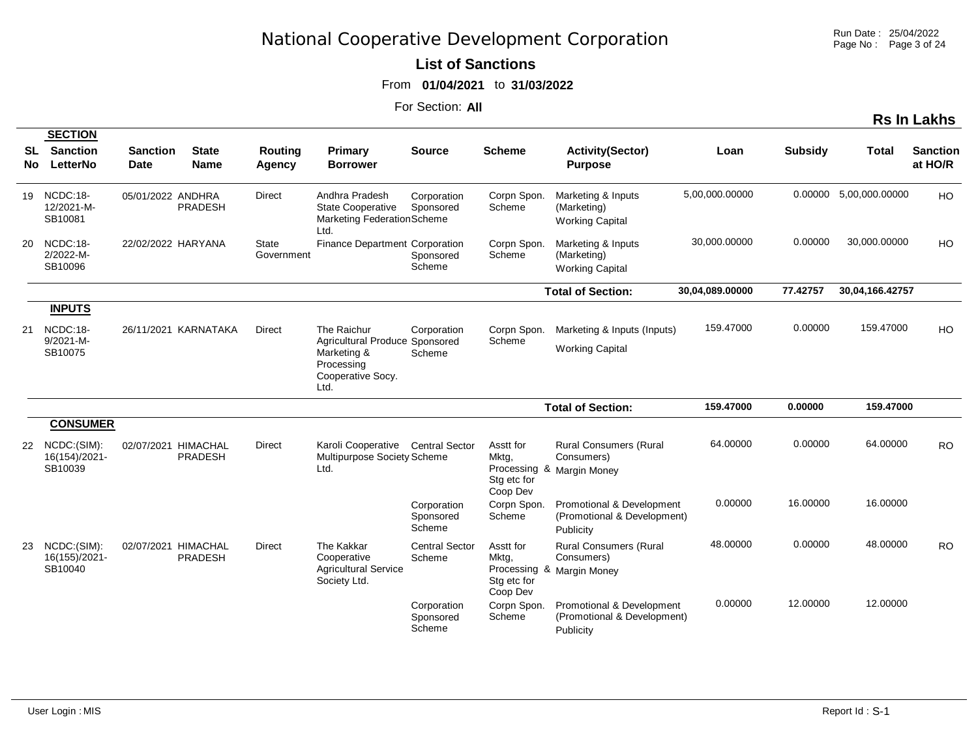#### **List of Sanctions**

From **01/04/2021** to **31/03/2022**

|          |                                                        |                         |                             |                            |                                                                                   |                                    |                                               |                                                                          |                 |                |                        | <b>Rs In Lakhs</b>         |
|----------|--------------------------------------------------------|-------------------------|-----------------------------|----------------------------|-----------------------------------------------------------------------------------|------------------------------------|-----------------------------------------------|--------------------------------------------------------------------------|-----------------|----------------|------------------------|----------------------------|
| SL<br>No | <b>SECTION</b><br><b>Sanction</b><br>LetterNo          | <b>Sanction</b><br>Date | <b>State</b><br><b>Name</b> | Routing<br><b>Agency</b>   | Primary<br><b>Borrower</b>                                                        | <b>Source</b>                      | <b>Scheme</b>                                 | <b>Activity(Sector)</b><br><b>Purpose</b>                                | Loan            | <b>Subsidy</b> | <b>Total</b>           | <b>Sanction</b><br>at HO/R |
|          | 19 NCDC:18-<br>12/2021-M-<br>SB10081                   | 05/01/2022 ANDHRA       | <b>PRADESH</b>              | <b>Direct</b>              | Andhra Pradesh<br><b>State Cooperative</b><br>Marketing Federation Scheme<br>Ltd. | Corporation<br>Sponsored           | Corpn Spon.<br>Scheme                         | Marketing & Inputs<br>(Marketing)<br><b>Working Capital</b>              | 5,00,000.00000  |                | 0.00000 5,00,000.00000 | HO                         |
| 20       | NCDC:18-<br>2/2022-M-<br>SB10096                       | 22/02/2022 HARYANA      |                             | <b>State</b><br>Government | Finance Department Corporation                                                    | Sponsored<br>Scheme                | Corpn Spon.<br>Scheme                         | Marketing & Inputs<br>(Marketing)<br><b>Working Capital</b>              | 30,000.00000    | 0.00000        | 30,000.00000           | HO                         |
|          |                                                        |                         |                             |                            |                                                                                   |                                    |                                               | <b>Total of Section:</b>                                                 | 30,04,089.00000 | 77.42757       | 30,04,166.42757        |                            |
| 21       | <b>INPUTS</b><br>NCDC:18-<br>$9/2021 - M -$<br>SB10075 |                         | 26/11/2021 KARNATAKA        | <b>Direct</b>              | The Raichur<br>Agricultural Produce Sponsored<br>Marketing &<br>Processing        | Corporation<br>Scheme              | Corpn Spon.<br>Scheme                         | Marketing & Inputs (Inputs)<br><b>Working Capital</b>                    | 159.47000       | 0.00000        | 159.47000              | HO                         |
|          |                                                        |                         |                             |                            | Cooperative Socy.<br>Ltd.                                                         |                                    |                                               |                                                                          |                 |                |                        |                            |
|          |                                                        |                         |                             |                            |                                                                                   |                                    |                                               | <b>Total of Section:</b>                                                 | 159.47000       | 0.00000        | 159.47000              |                            |
|          | <b>CONSUMER</b>                                        |                         |                             |                            |                                                                                   |                                    |                                               |                                                                          |                 |                |                        |                            |
|          | 22 NCDC:(SIM):<br>16(154)/2021-<br>SB10039             | 02/07/2021 HIMACHAL     | <b>PRADESH</b>              | <b>Direct</b>              | Karoli Cooperative Central Sector<br>Multipurpose Society Scheme<br>Ltd.          |                                    | Asstt for<br>Mktg,<br>Stg etc for<br>Coop Dev | <b>Rural Consumers (Rural</b><br>Consumers)<br>Processing & Margin Money | 64.00000        | 0.00000        | 64.00000               | <b>RO</b>                  |
|          |                                                        |                         |                             |                            |                                                                                   | Corporation<br>Sponsored<br>Scheme | Corpn Spon.<br>Scheme                         | Promotional & Development<br>(Promotional & Development)<br>Publicity    | 0.00000         | 16.00000       | 16.00000               |                            |
| 23       | NCDC:(SIM):<br>16(155)/2021-<br>SB10040                | 02/07/2021 HIMACHAL     | <b>PRADESH</b>              | <b>Direct</b>              | The Kakkar<br>Cooperative<br><b>Agricultural Service</b><br>Society Ltd.          | <b>Central Sector</b><br>Scheme    | Asstt for<br>Mktg,<br>Stg etc for<br>Coop Dev | <b>Rural Consumers (Rural</b><br>Consumers)<br>Processing & Margin Money | 48.00000        | 0.00000        | 48.00000               | <b>RO</b>                  |
|          |                                                        |                         |                             |                            |                                                                                   | Corporation<br>Sponsored<br>Scheme | Corpn Spon.<br>Scheme                         | Promotional & Development<br>(Promotional & Development)<br>Publicity    | 0.00000         | 12.00000       | 12.00000               |                            |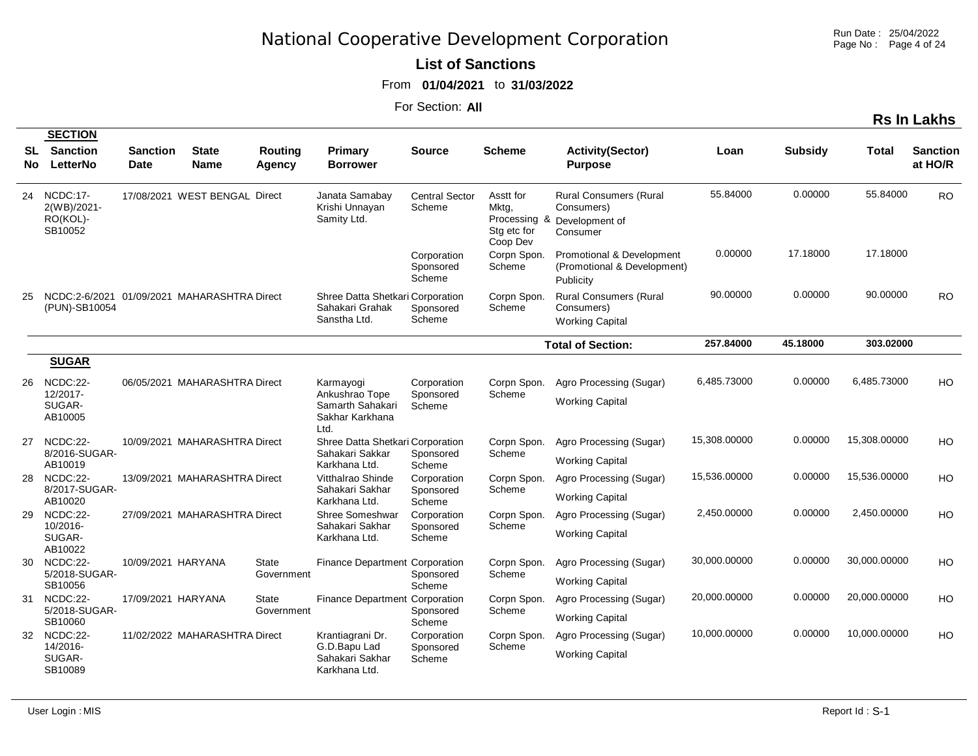Run Date : 25/04/2022 Page No : Page 4 of 24

**Rs In Lakhs**

### **List of Sanctions**

From **01/04/2021** to **31/03/2022**

|          | <b>SECTION</b>                                               |                         |                               |                            |                                                                              |                                    |                                                                  |                                                                           |              |                |              |                            |
|----------|--------------------------------------------------------------|-------------------------|-------------------------------|----------------------------|------------------------------------------------------------------------------|------------------------------------|------------------------------------------------------------------|---------------------------------------------------------------------------|--------------|----------------|--------------|----------------------------|
| SL<br>No | <b>Sanction</b><br>LetterNo                                  | <b>Sanction</b><br>Date | <b>State</b><br><b>Name</b>   | Routing<br>Agency          | <b>Primary</b><br><b>Borrower</b>                                            | Source                             | <b>Scheme</b>                                                    | <b>Activity(Sector)</b><br><b>Purpose</b>                                 | Loan         | <b>Subsidy</b> | Total        | <b>Sanction</b><br>at HO/R |
| 24       | <b>NCDC:17-</b><br>2(WB)/2021-<br>RO(KOL)-<br>SB10052        |                         | 17/08/2021 WEST BENGAL Direct |                            | Janata Samabay<br>Krishi Unnayan<br>Samity Ltd.                              | <b>Central Sector</b><br>Scheme    | Asstt for<br>Mktg,<br>Processing<br>&<br>Stg etc for<br>Coop Dev | <b>Rural Consumers (Rural</b><br>Consumers)<br>Development of<br>Consumer | 55.84000     | 0.00000        | 55.84000     | <b>RO</b>                  |
|          |                                                              |                         |                               |                            |                                                                              | Corporation<br>Sponsored<br>Scheme | Corpn Spon.<br>Scheme                                            | Promotional & Development<br>(Promotional & Development)<br>Publicity     | 0.00000      | 17.18000       | 17.18000     |                            |
| 25       | NCDC:2-6/2021 01/09/2021 MAHARASHTRA Direct<br>(PUN)-SB10054 |                         |                               |                            | Shree Datta Shetkari Corporation<br>Sahakari Grahak<br>Sanstha Ltd.          | Sponsored<br>Scheme                | Corpn Spon.<br>Scheme                                            | <b>Rural Consumers (Rural</b><br>Consumers)<br><b>Working Capital</b>     | 90.00000     | 0.00000        | 90.00000     | RO.                        |
|          |                                                              |                         |                               |                            |                                                                              |                                    |                                                                  | <b>Total of Section:</b>                                                  | 257.84000    | 45.18000       | 303.02000    |                            |
|          | <b>SUGAR</b>                                                 |                         |                               |                            |                                                                              |                                    |                                                                  |                                                                           |              |                |              |                            |
| 26       | NCDC:22-<br>12/2017-<br>SUGAR-<br>AB10005                    |                         | 06/05/2021 MAHARASHTRA Direct |                            | Karmayogi<br>Ankushrao Tope<br>Samarth Sahakari<br>Sakhar Karkhana           | Corporation<br>Sponsored<br>Scheme | Corpn Spon.<br>Scheme                                            | Agro Processing (Sugar)<br><b>Working Capital</b>                         | 6,485.73000  | 0.00000        | 6,485.73000  | <b>HO</b>                  |
| 27       | NCDC:22-<br>8/2016-SUGAR-<br>AB10019                         |                         | 10/09/2021 MAHARASHTRA Direct |                            | Ltd.<br>Shree Datta Shetkari Corporation<br>Sahakari Sakkar<br>Karkhana Ltd. | Sponsored<br>Scheme                | Corpn Spon.<br>Scheme                                            | Agro Processing (Sugar)<br><b>Working Capital</b>                         | 15,308.00000 | 0.00000        | 15,308.00000 | H <sub>O</sub>             |
| 28       | NCDC:22-                                                     |                         | 13/09/2021 MAHARASHTRA Direct |                            | Vitthalrao Shinde                                                            | Corporation                        | Corpn Spon.                                                      | Agro Processing (Sugar)                                                   | 15,536.00000 | 0.00000        | 15,536.00000 | HO                         |
|          | 8/2017-SUGAR-<br>AB10020                                     |                         |                               |                            | Sahakari Sakhar<br>Karkhana Ltd.                                             | Sponsored<br>Scheme                | Scheme                                                           | <b>Working Capital</b>                                                    |              |                |              |                            |
| 29       | NCDC:22-                                                     |                         | 27/09/2021 MAHARASHTRA Direct |                            | Shree Someshwar                                                              | Corporation                        | Corpn Spon.                                                      | Agro Processing (Sugar)                                                   | 2,450.00000  | 0.00000        | 2,450.00000  | <b>HO</b>                  |
|          | 10/2016-<br>SUGAR-<br>AB10022                                |                         |                               |                            | Sahakari Sakhar<br>Karkhana Ltd.                                             | Sponsored<br>Scheme                | Scheme                                                           | <b>Working Capital</b>                                                    |              |                |              |                            |
| 30       | NCDC:22-<br>5/2018-SUGAR-                                    | 10/09/2021 HARYANA      |                               | <b>State</b>               | Finance Department Corporation                                               |                                    | Corpn Spon.<br>Scheme                                            | Agro Processing (Sugar)                                                   | 30,000.00000 | 0.00000        | 30,000.00000 | HO                         |
|          | SB10056                                                      |                         |                               | Government                 |                                                                              | Sponsored<br>Scheme                |                                                                  | <b>Working Capital</b>                                                    |              |                |              |                            |
| 31       | NCDC:22-<br>5/2018-SUGAR-                                    | 17/09/2021 HARYANA      |                               | <b>State</b><br>Government | Finance Department Corporation                                               |                                    | Corpn Spon.<br>Scheme                                            | Agro Processing (Sugar)                                                   | 20,000.00000 | 0.00000        | 20,000.00000 | HO                         |
|          | SB10060                                                      |                         |                               |                            |                                                                              | Sponsored<br>Scheme                |                                                                  | <b>Working Capital</b>                                                    |              |                |              |                            |
| 32       | NCDC:22-                                                     |                         | 11/02/2022 MAHARASHTRA Direct |                            | Krantiagrani Dr.                                                             | Corporation                        | Corpn Spon.                                                      | Agro Processing (Sugar)                                                   | 10,000.00000 | 0.00000        | 10,000.00000 | HO                         |
|          | 14/2016-<br>SUGAR-<br>SB10089                                |                         |                               |                            | G.D.Bapu Lad<br>Sahakari Sakhar<br>Karkhana Ltd.                             | Sponsored<br>Scheme                | Scheme                                                           | <b>Working Capital</b>                                                    |              |                |              |                            |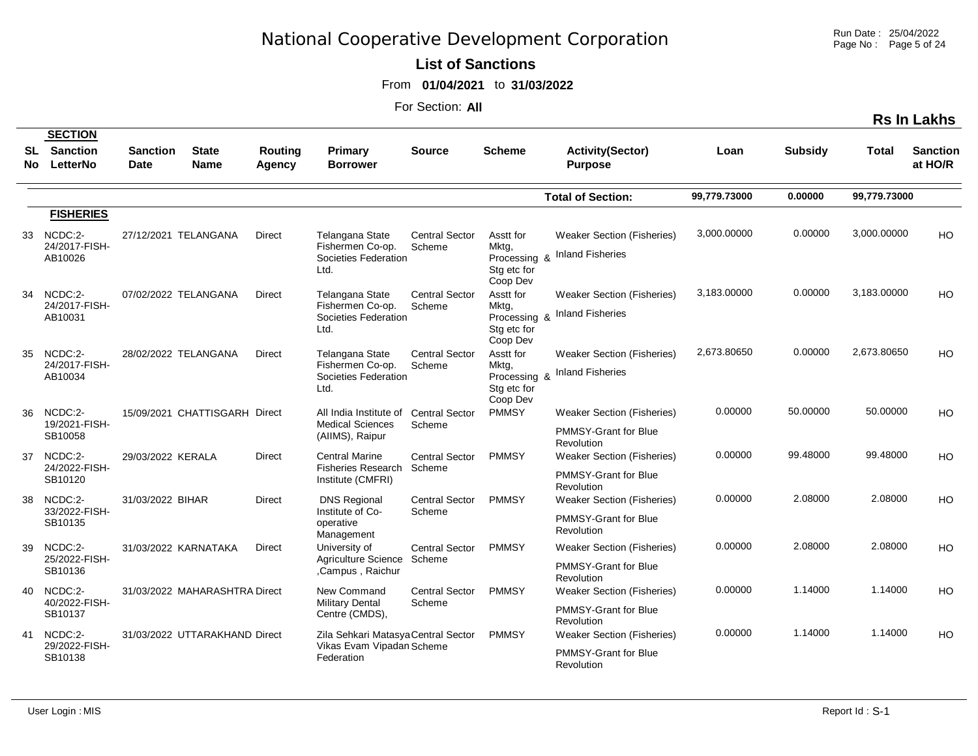Run Date : 25/04/2022 Page No : Page 5 of 24

**List of Sanctions** 

From **01/04/2021** to **31/03/2022**

For Section: **All**

|           |                                               |                                |                               |                                 |                                                    |                                 |                                                  |                                           |              |                |              | <b>Rs In Lakhs</b>         |
|-----------|-----------------------------------------------|--------------------------------|-------------------------------|---------------------------------|----------------------------------------------------|---------------------------------|--------------------------------------------------|-------------------------------------------|--------------|----------------|--------------|----------------------------|
| SL<br>No. | <b>SECTION</b><br><b>Sanction</b><br>LetterNo | <b>Sanction</b><br><b>Date</b> | <b>State</b><br><b>Name</b>   | <b>Routing</b><br><b>Agency</b> | Primary<br><b>Borrower</b>                         | <b>Source</b>                   | <b>Scheme</b>                                    | <b>Activity(Sector)</b><br><b>Purpose</b> | Loan         | <b>Subsidy</b> | Total        | <b>Sanction</b><br>at HO/R |
|           |                                               |                                |                               |                                 |                                                    |                                 |                                                  | <b>Total of Section:</b>                  | 99,779.73000 | 0.00000        | 99,779.73000 |                            |
|           | <b>FISHERIES</b>                              |                                |                               |                                 |                                                    |                                 |                                                  |                                           |              |                |              |                            |
| 33        | NCDC:2-                                       |                                | 27/12/2021 TELANGANA          | <b>Direct</b>                   | Telangana State                                    | <b>Central Sector</b>           | Asstt for                                        | <b>Weaker Section (Fisheries)</b>         | 3,000.00000  | 0.00000        | 3,000.00000  | HO                         |
|           | 24/2017-FISH-<br>AB10026                      |                                |                               |                                 | Fishermen Co-op.<br>Societies Federation<br>Ltd.   | Scheme                          | Mktg,<br>Processing &<br>Stg etc for<br>Coop Dev | <b>Inland Fisheries</b>                   |              |                |              |                            |
| 34        | NCDC:2-                                       |                                | 07/02/2022 TELANGANA          | Direct                          | Telangana State                                    | <b>Central Sector</b>           | Asstt for                                        | <b>Weaker Section (Fisheries)</b>         | 3,183.00000  | 0.00000        | 3,183.00000  | HO                         |
|           | 24/2017-FISH-<br>AB10031                      |                                |                               |                                 | Fishermen Co-op.<br>Societies Federation<br>Ltd.   | Scheme                          | Mktg,<br>Processing &<br>Stg etc for<br>Coop Dev | <b>Inland Fisheries</b>                   |              |                |              |                            |
| 35        | NCDC:2-                                       |                                | 28/02/2022 TELANGANA          | Direct                          | <b>Telangana State</b>                             | <b>Central Sector</b>           | Asstt for                                        | <b>Weaker Section (Fisheries)</b>         | 2,673.80650  | 0.00000        | 2,673.80650  | HO                         |
|           | 24/2017-FISH-<br>AB10034                      |                                |                               |                                 | Fishermen Co-op.<br>Societies Federation<br>Ltd.   | Scheme                          | Mktg,<br>Processing &<br>Stg etc for<br>Coop Dev | <b>Inland Fisheries</b>                   |              |                |              |                            |
| 36        | NCDC:2-                                       |                                | 15/09/2021 CHATTISGARH Direct |                                 | All India Institute of                             | <b>Central Sector</b>           | <b>PMMSY</b>                                     | <b>Weaker Section (Fisheries)</b>         | 0.00000      | 50.00000       | 50.00000     | HO                         |
|           | 19/2021-FISH-<br>SB10058                      |                                |                               |                                 | <b>Medical Sciences</b><br>(AllMS), Raipur         | Scheme                          |                                                  | <b>PMMSY-Grant for Blue</b><br>Revolution |              |                |              |                            |
| 37        | NCDC:2-<br>24/2022-FISH-                      | 29/03/2022 KERALA              |                               | Direct                          | <b>Central Marine</b><br><b>Fisheries Research</b> | <b>Central Sector</b><br>Scheme | <b>PMMSY</b>                                     | <b>Weaker Section (Fisheries)</b>         | 0.00000      | 99.48000       | 99.48000     | HO                         |
|           | SB10120                                       |                                |                               |                                 | Institute (CMFRI)                                  |                                 |                                                  | <b>PMMSY-Grant for Blue</b><br>Revolution |              |                |              |                            |
| 38        | NCDC:2-<br>33/2022-FISH-                      | 31/03/2022 BIHAR               |                               | Direct                          | <b>DNS Regional</b><br>Institute of Co-            | <b>Central Sector</b><br>Scheme | <b>PMMSY</b>                                     | <b>Weaker Section (Fisheries)</b>         | 0.00000      | 2.08000        | 2.08000      | HO                         |
|           | SB10135                                       |                                |                               |                                 | operative<br>Management                            |                                 |                                                  | <b>PMMSY-Grant for Blue</b><br>Revolution |              |                |              |                            |
| 39        | NCDC:2-                                       |                                | 31/03/2022 KARNATAKA          | <b>Direct</b>                   | University of                                      | <b>Central Sector</b>           | <b>PMMSY</b>                                     | Weaker Section (Fisheries)                | 0.00000      | 2.08000        | 2.08000      | HO                         |
|           | 25/2022-FISH-<br>SB10136                      |                                |                               |                                 | Agriculture Science<br>,Campus, Raichur            | Scheme                          |                                                  | <b>PMMSY-Grant for Blue</b><br>Revolution |              |                |              |                            |
| 40        | NCDC:2-<br>40/2022-FISH-                      |                                | 31/03/2022 MAHARASHTRA Direct |                                 | New Command<br><b>Military Dental</b>              | <b>Central Sector</b><br>Scheme | <b>PMMSY</b>                                     | <b>Weaker Section (Fisheries)</b>         | 0.00000      | 1.14000        | 1.14000      | HO                         |
|           | SB10137                                       |                                |                               |                                 | Centre (CMDS),                                     |                                 |                                                  | PMMSY-Grant for Blue<br>Revolution        |              |                |              |                            |
| 41        | NCDC:2-                                       |                                | 31/03/2022 UTTARAKHAND Direct |                                 | Zila Sehkari Matasya Central Sector                |                                 | <b>PMMSY</b>                                     | <b>Weaker Section (Fisheries)</b>         | 0.00000      | 1.14000        | 1.14000      | HO                         |
|           | 29/2022-FISH-<br>SB10138                      |                                |                               |                                 | Vikas Evam Vipadan Scheme<br>Federation            |                                 |                                                  | <b>PMMSY-Grant for Blue</b><br>Revolution |              |                |              |                            |

 $\sim$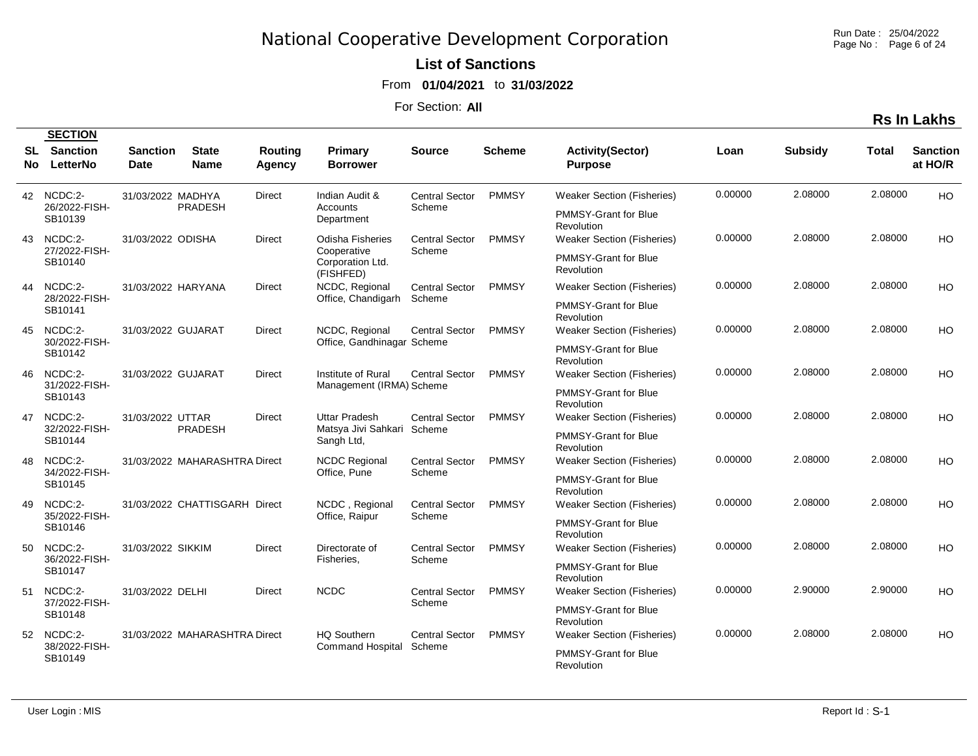Run Date : 25/04/2022 Page No : Page 6 of 24

### **List of Sanctions**

From **01/04/2021** to **31/03/2022**

For Section: **All**

|                                           | <b>SECTION</b>                     |                                |                               |                   |                                                |                                 |                                   |                                           |         |                |         |                            |
|-------------------------------------------|------------------------------------|--------------------------------|-------------------------------|-------------------|------------------------------------------------|---------------------------------|-----------------------------------|-------------------------------------------|---------|----------------|---------|----------------------------|
| SL<br>No l                                | <b>Sanction</b><br><b>LetterNo</b> | <b>Sanction</b><br><b>Date</b> | <b>State</b><br><b>Name</b>   | Routing<br>Agency | Primary<br><b>Borrower</b>                     | <b>Source</b>                   | <b>Scheme</b>                     | <b>Activity(Sector)</b><br><b>Purpose</b> | Loan    | <b>Subsidy</b> | Total   | <b>Sanction</b><br>at HO/R |
|                                           | 42 NCDC:2-                         | 31/03/2022 MADHYA              |                               | Direct            | Indian Audit &                                 | <b>Central Sector</b>           | <b>PMMSY</b>                      | <b>Weaker Section (Fisheries)</b>         | 0.00000 | 2.08000        | 2.08000 | HO                         |
|                                           | 26/2022-FISH-<br>SB10139           |                                | <b>PRADESH</b>                |                   | Accounts<br>Department                         | Scheme                          |                                   | <b>PMMSY-Grant for Blue</b><br>Revolution |         |                |         |                            |
| 43                                        | NCDC:2-                            | 31/03/2022 ODISHA              |                               | <b>Direct</b>     | <b>Odisha Fisheries</b>                        | <b>Central Sector</b>           | <b>PMMSY</b>                      | <b>Weaker Section (Fisheries)</b>         | 0.00000 | 2.08000        | 2.08000 | HO                         |
|                                           | 27/2022-FISH-<br>SB10140           |                                |                               |                   | Cooperative<br>Corporation Ltd.<br>(FISHFED)   | Scheme                          |                                   | PMMSY-Grant for Blue<br>Revolution        |         |                |         |                            |
| 44                                        | NCDC:2-<br>28/2022-FISH-           | 31/03/2022 HARYANA             |                               | <b>Direct</b>     | NCDC, Regional                                 | <b>Central Sector</b><br>Scheme | <b>PMMSY</b>                      | <b>Weaker Section (Fisheries)</b>         | 0.00000 | 2.08000        | 2.08000 | HO                         |
|                                           | SB10141                            |                                |                               |                   | Office, Chandigarh                             |                                 |                                   | PMMSY-Grant for Blue<br>Revolution        |         |                |         |                            |
| NCDC:2-<br>45<br>30/2022-FISH-<br>SB10142 | 31/03/2022 GUJARAT                 |                                | Direct                        | NCDC, Regional    | <b>Central Sector</b>                          | <b>PMMSY</b>                    | <b>Weaker Section (Fisheries)</b> | 0.00000                                   | 2.08000 | 2.08000        | HO      |                            |
|                                           |                                    |                                |                               |                   | Office, Gandhinagar Scheme                     |                                 |                                   | PMMSY-Grant for Blue<br>Revolution        |         |                |         |                            |
| 46                                        | NCDC:2-<br>31/2022-FISH-           | 31/03/2022 GUJARAT             |                               | Direct            | Institute of Rural<br>Management (IRMA) Scheme | <b>Central Sector</b>           | <b>PMMSY</b>                      | <b>Weaker Section (Fisheries)</b>         | 0.00000 | 2.08000        | 2.08000 | HO                         |
|                                           | SB10143                            |                                |                               |                   |                                                |                                 |                                   | PMMSY-Grant for Blue<br>Revolution        |         |                |         |                            |
| 47                                        | NCDC:2-<br>32/2022-FISH-           | 31/03/2022 UTTAR               | <b>PRADESH</b>                | <b>Direct</b>     | Uttar Pradesh<br>Matsya Jivi Sahkari Scheme    | Central Sector                  | <b>PMMSY</b>                      | <b>Weaker Section (Fisheries)</b>         | 0.00000 | 2.08000        | 2.08000 | HO                         |
|                                           | SB10144                            |                                |                               |                   | Sangh Ltd,                                     |                                 |                                   | PMMSY-Grant for Blue<br>Revolution        |         |                |         |                            |
| 48                                        | $NCDC:2-$<br>34/2022-FISH-         |                                | 31/03/2022 MAHARASHTRA Direct |                   | <b>NCDC Regional</b><br>Office, Pune           | <b>Central Sector</b><br>Scheme | <b>PMMSY</b>                      | <b>Weaker Section (Fisheries)</b>         | 0.00000 | 2.08000        | 2.08000 | HO                         |
|                                           | SB10145                            |                                |                               |                   |                                                |                                 |                                   | <b>PMMSY-Grant for Blue</b><br>Revolution |         |                |         |                            |
| 49                                        | NCDC:2-<br>35/2022-FISH-           |                                | 31/03/2022 CHATTISGARH Direct |                   | NCDC, Regional<br>Office, Raipur               | <b>Central Sector</b><br>Scheme | <b>PMMSY</b>                      | <b>Weaker Section (Fisheries)</b>         | 0.00000 | 2.08000        | 2.08000 | HO                         |
|                                           | SB10146                            |                                |                               |                   |                                                |                                 |                                   | PMMSY-Grant for Blue<br>Revolution        |         |                |         |                            |
| 50                                        | NCDC:2-<br>36/2022-FISH-           | 31/03/2022 SIKKIM              |                               | <b>Direct</b>     | Directorate of<br>Fisheries,                   | <b>Central Sector</b><br>Scheme | <b>PMMSY</b>                      | <b>Weaker Section (Fisheries)</b>         | 0.00000 | 2.08000        | 2.08000 | HO                         |
|                                           | SB10147                            |                                |                               |                   |                                                |                                 |                                   | PMMSY-Grant for Blue<br>Revolution        |         |                |         |                            |
| 51                                        | NCDC:2-<br>37/2022-FISH-           | 31/03/2022 DELHI               |                               | Direct            | <b>NCDC</b>                                    | <b>Central Sector</b>           | <b>PMMSY</b>                      | <b>Weaker Section (Fisheries)</b>         | 0.00000 | 2.90000        | 2.90000 | HO                         |
|                                           | SB10148                            |                                |                               |                   |                                                | Scheme                          |                                   | <b>PMMSY-Grant for Blue</b><br>Revolution |         |                |         |                            |
|                                           | 52 NCDC:2-<br>38/2022-FISH-        |                                | 31/03/2022 MAHARASHTRA Direct |                   | <b>HQ Southern</b><br>Command Hospital         | <b>Central Sector</b>           | <b>PMMSY</b>                      | Weaker Section (Fisheries)                | 0.00000 | 2.08000        | 2.08000 | HO                         |
|                                           | SB10149                            |                                |                               |                   |                                                | Scheme                          |                                   | <b>PMMSY-Grant for Blue</b><br>Revolution |         |                |         |                            |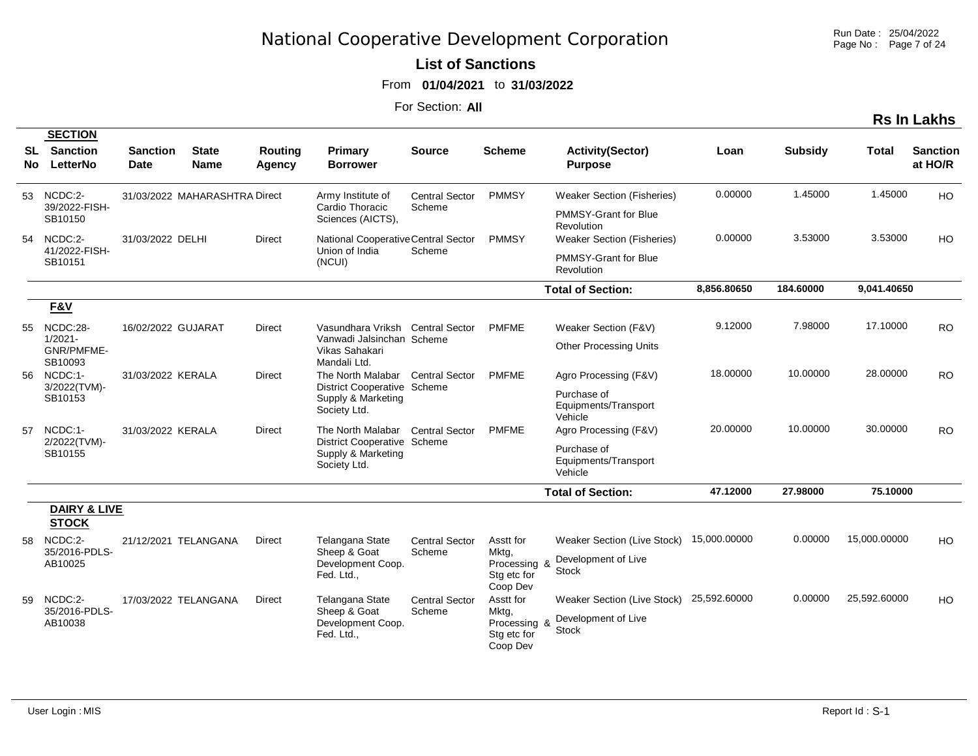#### **List of Sanctions**

From **01/04/2021** to **31/03/2022**

|            |                                               |                                |                               |                          |                                                                   |                       |                                                  |                                                |              |                |              | <b>Rs In Lakhs</b>         |
|------------|-----------------------------------------------|--------------------------------|-------------------------------|--------------------------|-------------------------------------------------------------------|-----------------------|--------------------------------------------------|------------------------------------------------|--------------|----------------|--------------|----------------------------|
| SL<br>No l | <b>SECTION</b><br><b>Sanction</b><br>LetterNo | <b>Sanction</b><br><b>Date</b> | <b>State</b><br><b>Name</b>   | Routing<br><b>Agency</b> | Primary<br><b>Borrower</b>                                        | <b>Source</b>         | <b>Scheme</b>                                    | <b>Activity(Sector)</b><br><b>Purpose</b>      | Loan         | <b>Subsidy</b> | Total        | <b>Sanction</b><br>at HO/R |
|            | 53 NCDC:2-                                    |                                | 31/03/2022 MAHARASHTRA Direct |                          | Army Institute of                                                 | <b>Central Sector</b> | <b>PMMSY</b>                                     | <b>Weaker Section (Fisheries)</b>              | 0.00000      | 1.45000        | 1.45000      | <b>HO</b>                  |
|            | 39/2022-FISH-<br>SB10150                      |                                |                               |                          | Cardio Thoracic<br>Sciences (AICTS),                              | Scheme                |                                                  | PMMSY-Grant for Blue<br><b>Revolution</b>      |              |                |              |                            |
| 54         | NCDC:2-                                       | 31/03/2022 DELHI               |                               | Direct                   | National Cooperative Central Sector                               |                       | <b>PMMSY</b>                                     | <b>Weaker Section (Fisheries)</b>              | 0.00000      | 3.53000        | 3.53000      | HO                         |
|            | 41/2022-FISH-<br>SB10151                      |                                |                               |                          | Union of India<br>(NCUI)                                          | Scheme                |                                                  | PMMSY-Grant for Blue<br>Revolution             |              |                |              |                            |
|            |                                               |                                |                               |                          |                                                                   |                       |                                                  | <b>Total of Section:</b>                       | 8,856.80650  | 184.60000      | 9,041.40650  |                            |
|            | F&V                                           |                                |                               |                          |                                                                   |                       |                                                  |                                                |              |                |              |                            |
|            | 55 NCDC:28-                                   | 16/02/2022 GUJARAT             |                               | Direct                   | Vasundhara Vriksh Central Sector                                  |                       | <b>PMFME</b>                                     | Weaker Section (F&V)                           | 9.12000      | 7.98000        | 17.10000     | <b>RO</b>                  |
|            | $1/2021 -$<br>GNR/PMFME-<br>SB10093           |                                |                               |                          | Vanwadi Jalsinchan Scheme<br>Vikas Sahakari<br>Mandali Ltd.       |                       |                                                  | <b>Other Processing Units</b>                  |              |                |              |                            |
|            | 56 NCDC:1-                                    | 31/03/2022 KERALA              |                               | Direct                   | The North Malabar Central Sector                                  |                       | <b>PMFME</b>                                     | Agro Processing (F&V)                          | 18.00000     | 10.00000       | 28.00000     | <b>RO</b>                  |
|            | 3/2022(TVM)-<br>SB10153                       |                                |                               |                          | District Cooperative Scheme<br>Supply & Marketing<br>Society Ltd. |                       |                                                  | Purchase of<br>Equipments/Transport<br>Vehicle |              |                |              |                            |
|            | 57 NCDC:1-                                    | 31/03/2022 KERALA              |                               | Direct                   | The North Malabar Central Sector                                  |                       | <b>PMFME</b>                                     | Agro Processing (F&V)                          | 20.00000     | 10.00000       | 30.00000     | <b>RO</b>                  |
|            | 2/2022(TVM)-<br>SB10155                       |                                |                               |                          | District Cooperative Scheme<br>Supply & Marketing<br>Society Ltd. |                       |                                                  | Purchase of<br>Equipments/Transport<br>Vehicle |              |                |              |                            |
|            |                                               |                                |                               |                          |                                                                   |                       |                                                  | <b>Total of Section:</b>                       | 47.12000     | 27.98000       | 75.10000     |                            |
|            | <b>DAIRY &amp; LIVE</b><br><b>STOCK</b>       |                                |                               |                          |                                                                   |                       |                                                  |                                                |              |                |              |                            |
| 58         | NCDC:2-                                       |                                | 21/12/2021 TELANGANA          | Direct                   | Telangana State                                                   | <b>Central Sector</b> | Asstt for                                        | Weaker Section (Live Stock)                    | 15,000.00000 | 0.00000        | 15,000.00000 | HO                         |
|            | 35/2016-PDLS-<br>AB10025                      |                                |                               |                          | Sheep & Goat<br>Development Coop.<br>Fed. Ltd.,                   | Scheme                | Mkta,<br>Processing &<br>Stg etc for<br>Coop Dev | Development of Live<br><b>Stock</b>            |              |                |              |                            |
|            | 59 NCDC:2-                                    |                                | 17/03/2022 TELANGANA          | Direct                   | Telangana State                                                   | <b>Central Sector</b> | Asstt for                                        | Weaker Section (Live Stock) 25,592.60000       |              | 0.00000        | 25,592.60000 | HO                         |
|            | 35/2016-PDLS-<br>AB10038                      |                                |                               |                          | Sheep & Goat<br>Development Coop.<br>Fed. Ltd.,                   | Scheme                | Mktg,<br>Processing 8<br>Stg etc for<br>Coop Dev | Development of Live<br><b>Stock</b>            |              |                |              |                            |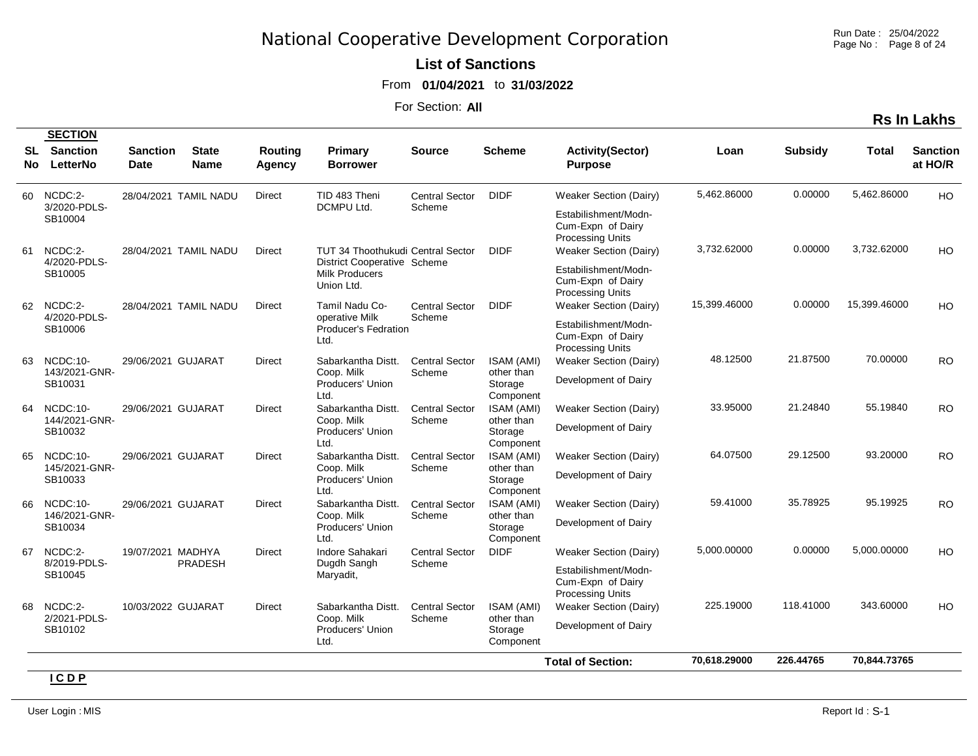Run Date : 25/04/2022 Page No : Page 8 of 24

#### **List of Sanctions**

From **01/04/2021** to **31/03/2022**

For Section: **All**

**Rs In Lakhs**

|            | <b>SECTION</b>              |                         |                             |                   |                                                                           |                                 |                                    |                                                                      |              |                |              |                            |
|------------|-----------------------------|-------------------------|-----------------------------|-------------------|---------------------------------------------------------------------------|---------------------------------|------------------------------------|----------------------------------------------------------------------|--------------|----------------|--------------|----------------------------|
| SL<br>No l | <b>Sanction</b><br>LetterNo | <b>Sanction</b><br>Date | <b>State</b><br><b>Name</b> | Routing<br>Agency | Primary<br><b>Borrower</b>                                                | <b>Source</b>                   | <b>Scheme</b>                      | <b>Activity(Sector)</b><br><b>Purpose</b>                            | Loan         | <b>Subsidy</b> | Total        | <b>Sanction</b><br>at HO/R |
| 60         | NCDC:2-                     |                         | 28/04/2021 TAMIL NADU       | <b>Direct</b>     | TID 483 Theni                                                             | <b>Central Sector</b>           | <b>DIDF</b>                        | <b>Weaker Section (Dairy)</b>                                        | 5,462.86000  | 0.00000        | 5,462.86000  | <b>HO</b>                  |
|            | 3/2020-PDLS-<br>SB10004     |                         |                             |                   | DCMPU Ltd.                                                                | Scheme                          |                                    | Estabilishment/Modn-<br>Cum-Expn of Dairy<br><b>Processing Units</b> |              |                |              |                            |
| 61         | NCDC:2-<br>4/2020-PDLS-     |                         | 28/04/2021 TAMIL NADU       | <b>Direct</b>     | <b>TUT 34 Thoothukudi Central Sector</b>                                  |                                 | <b>DIDF</b>                        | Weaker Section (Dairy)                                               | 3.732.62000  | 0.00000        | 3.732.62000  | H <sub>O</sub>             |
|            | SB10005                     |                         |                             |                   | <b>District Cooperative Scheme</b><br><b>Milk Producers</b><br>Union Ltd. |                                 |                                    | Estabilishment/Modn-<br>Cum-Expn of Dairy<br><b>Processing Units</b> |              |                |              |                            |
| 62         | NCDC:2-                     |                         | 28/04/2021 TAMIL NADU       | Direct            | Tamil Nadu Co-                                                            | <b>Central Sector</b>           | <b>DIDF</b>                        | Weaker Section (Dairy)                                               | 15,399.46000 | 0.00000        | 15,399.46000 | HO                         |
|            | 4/2020-PDLS-<br>SB10006     |                         |                             |                   | operative Milk<br>Producer's Fedration<br>Ltd.                            | Scheme                          |                                    | Estabilishment/Modn-<br>Cum-Expn of Dairy<br><b>Processing Units</b> |              |                |              |                            |
| 63         | NCDC:10-                    | 29/06/2021 GUJARAT      |                             | <b>Direct</b>     | Sabarkantha Distt.                                                        | <b>Central Sector</b>           | ISAM (AMI)                         | <b>Weaker Section (Dairy)</b>                                        | 48.12500     | 21.87500       | 70.00000     | <b>RO</b>                  |
|            | 143/2021-GNR-<br>SB10031    |                         |                             |                   | Coop. Milk<br>Producers' Union<br>Ltd.                                    | Scheme                          | other than<br>Storage<br>Component | Development of Dairy                                                 |              |                |              |                            |
| 64         | NCDC:10-<br>144/2021-GNR-   | 29/06/2021 GUJARAT      |                             | Direct            | Sabarkantha Distt.                                                        | <b>Central Sector</b>           | ISAM (AMI)<br>other than           | Weaker Section (Dairy)                                               | 33.95000     | 21.24840       | 55.19840     | <b>RO</b>                  |
|            | SB10032                     |                         |                             |                   | Coop. Milk<br>Producers' Union<br>Ltd.                                    | Scheme                          | Storage<br>Component               | Development of Dairy                                                 |              |                |              |                            |
| 65         | $NCDC:10-$<br>145/2021-GNR- | 29/06/2021 GUJARAT      |                             | <b>Direct</b>     | Sabarkantha Distt.<br>Coop. Milk                                          | <b>Central Sector</b><br>Scheme | ISAM (AMI)<br>other than           | Weaker Section (Dairy)                                               | 64.07500     | 29.12500       | 93.20000     | <b>RO</b>                  |
|            | SB10033                     |                         |                             |                   | Producers' Union<br>Ltd.                                                  |                                 | Storage<br>Component               | Development of Dairy                                                 |              |                |              |                            |
| 66         | NCDC:10-<br>146/2021-GNR-   | 29/06/2021 GUJARAT      |                             | <b>Direct</b>     | Sabarkantha Distt.<br>Coop. Milk                                          | <b>Central Sector</b><br>Scheme | ISAM (AMI)<br>other than           | Weaker Section (Dairy)                                               | 59.41000     | 35.78925       | 95.19925     | <b>RO</b>                  |
|            | SB10034                     |                         |                             |                   | Producers' Union<br>Ltd.                                                  |                                 | Storage<br>Component               | Development of Dairy                                                 |              |                |              |                            |
| 67         | NCDC:2-<br>8/2019-PDLS-     | 19/07/2021 MADHYA       | <b>PRADESH</b>              | <b>Direct</b>     | Indore Sahakari                                                           | <b>Central Sector</b>           | <b>DIDF</b>                        | Weaker Section (Dairy)                                               | 5.000.00000  | 0.00000        | 5.000.00000  | HO                         |
|            | SB10045                     |                         |                             |                   | Dugdh Sangh<br>Maryadit,                                                  | Scheme                          |                                    | Estabilishment/Modn-<br>Cum-Expn of Dairy<br><b>Processing Units</b> |              |                |              |                            |
| 68         | NCDC:2-                     | 10/03/2022 GUJARAT      |                             | <b>Direct</b>     | Sabarkantha Distt.                                                        | <b>Central Sector</b>           | ISAM (AMI)                         | <b>Weaker Section (Dairy)</b>                                        | 225.19000    | 118.41000      | 343.60000    | HO                         |
|            | 2/2021-PDLS-<br>SB10102     |                         |                             |                   | Coop. Milk<br>Producers' Union<br>Ltd.                                    | Scheme                          | other than<br>Storage<br>Component | Development of Dairy                                                 |              |                |              |                            |
|            |                             |                         |                             |                   |                                                                           |                                 |                                    | <b>Total of Section:</b>                                             | 70,618.29000 | 226.44765      | 70,844.73765 |                            |

**I C D P**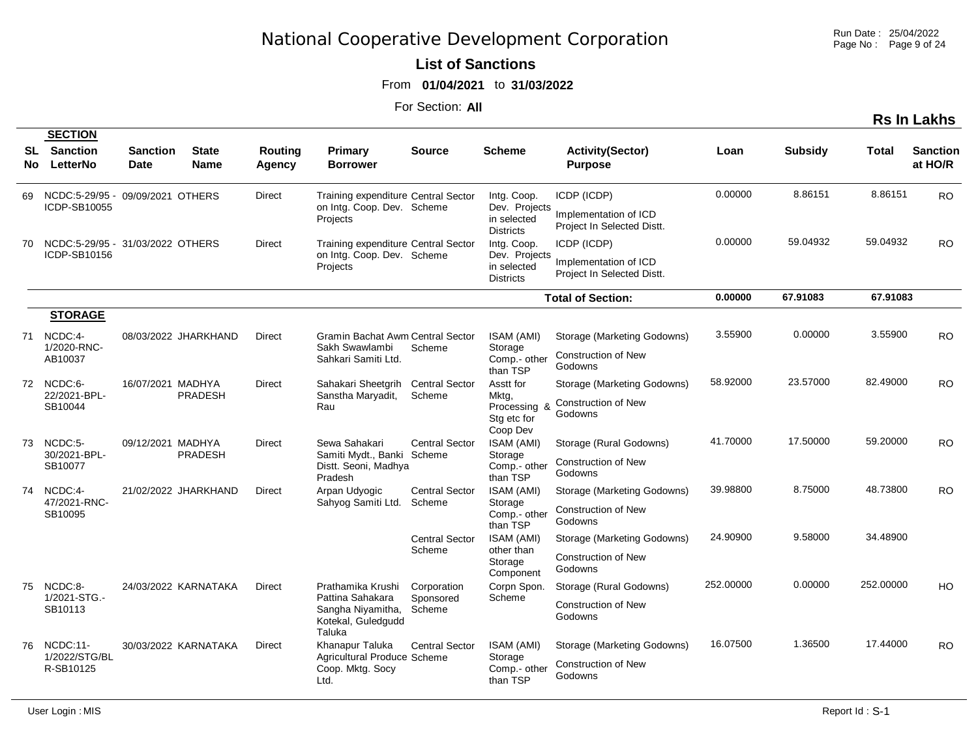Run Date : 25/04/2022 Page No: Page 9 of 24

**Rs In Lakhs**

#### **List of Sanctions**

From **01/04/2021** to **31/03/2022**

For Section: **All**

|            | <b>SECTION</b>                                      |                                |                             |                   |                                                                                            |                                    |                                                                 |                                                                      |           |                |              |                            |
|------------|-----------------------------------------------------|--------------------------------|-----------------------------|-------------------|--------------------------------------------------------------------------------------------|------------------------------------|-----------------------------------------------------------------|----------------------------------------------------------------------|-----------|----------------|--------------|----------------------------|
| SL.<br>No. | <b>Sanction</b><br>LetterNo                         | <b>Sanction</b><br><b>Date</b> | <b>State</b><br><b>Name</b> | Routing<br>Agency | <b>Primary</b><br><b>Borrower</b>                                                          | <b>Source</b>                      | <b>Scheme</b>                                                   | <b>Activity(Sector)</b><br><b>Purpose</b>                            | Loan      | <b>Subsidy</b> | <b>Total</b> | <b>Sanction</b><br>at HO/R |
| 69         | NCDC:5-29/95 - 09/09/2021 OTHERS<br>ICDP-SB10055    |                                |                             | Direct            | Training expenditure Central Sector<br>on Intg. Coop. Dev. Scheme<br>Projects              |                                    | Intg. Coop.<br>Dev. Projects<br>in selected<br><b>Districts</b> | ICDP (ICDP)<br>Implementation of ICD<br>Project In Selected Distt.   | 0.00000   | 8.86151        | 8.86151      | <b>RO</b>                  |
| 70         | NCDC:5-29/95 - 31/03/2022 OTHERS<br>ICDP-SB10156    |                                |                             | Direct            | Training expenditure Central Sector<br>on Intg. Coop. Dev. Scheme<br>Projects              |                                    | Intg. Coop.<br>Dev. Projects<br>in selected<br><b>Districts</b> | ICDP (ICDP)<br>Implementation of ICD<br>Project In Selected Distt.   | 0.00000   | 59.04932       | 59.04932     | <b>RO</b>                  |
|            |                                                     |                                |                             |                   |                                                                                            |                                    |                                                                 | <b>Total of Section:</b>                                             | 0.00000   | 67.91083       | 67.91083     |                            |
| 71         | <b>STORAGE</b><br>NCDC:4-<br>1/2020-RNC-<br>AB10037 |                                | 08/03/2022 JHARKHAND        | <b>Direct</b>     | <b>Gramin Bachat Awm Central Sector</b><br>Sakh Swawlambi<br>Sahkari Samiti Ltd.           | Scheme                             | ISAM (AMI)<br>Storage<br>Comp.- other<br>than TSP               | Storage (Marketing Godowns)<br><b>Construction of New</b><br>Godowns | 3.55900   | 0.00000        | 3.55900      | <b>RO</b>                  |
|            | 72 NCDC:6-<br>22/2021-BPL-<br>SB10044               | 16/07/2021 MADHYA              | <b>PRADESH</b>              | <b>Direct</b>     | Sahakari Sheetgrih<br>Sanstha Maryadit,<br>Rau                                             | <b>Central Sector</b><br>Scheme    | Asstt for<br>Mktg,<br>Processing &<br>Stg etc for<br>Coop Dev   | Storage (Marketing Godowns)<br><b>Construction of New</b><br>Godowns | 58.92000  | 23.57000       | 82.49000     | <b>RO</b>                  |
| 73         | NCDC:5-<br>30/2021-BPL-<br>SB10077                  | 09/12/2021 MADHYA              | <b>PRADESH</b>              | <b>Direct</b>     | Sewa Sahakari<br>Samiti Mydt., Banki Scheme<br>Distt. Seoni, Madhya<br>Pradesh             | <b>Central Sector</b>              | ISAM (AMI)<br>Storage<br>Comp.- other<br>than TSP               | Storage (Rural Godowns)<br><b>Construction of New</b><br>Godowns     | 41.70000  | 17.50000       | 59.20000     | <b>RO</b>                  |
|            | 74 NCDC:4-<br>47/2021-RNC-<br>SB10095               |                                | 21/02/2022 JHARKHAND        | <b>Direct</b>     | Arpan Udyogic<br>Sahyog Samiti Ltd.                                                        | <b>Central Sector</b><br>Scheme    | ISAM (AMI)<br>Storage<br>Comp.- other<br>than TSP               | Storage (Marketing Godowns)<br><b>Construction of New</b><br>Godowns | 39.98800  | 8.75000        | 48.73800     | <b>RO</b>                  |
|            |                                                     |                                |                             |                   |                                                                                            | <b>Central Sector</b><br>Scheme    | ISAM (AMI)<br>other than<br>Storage<br>Component                | Storage (Marketing Godowns)<br><b>Construction of New</b><br>Godowns | 24.90900  | 9.58000        | 34.48900     |                            |
| 75         | NCDC:8-<br>1/2021-STG.-<br>SB10113                  |                                | 24/03/2022 KARNATAKA        | <b>Direct</b>     | Prathamika Krushi<br>Pattina Sahakara<br>Sangha Niyamitha,<br>Kotekal, Guledgudd<br>Taluka | Corporation<br>Sponsored<br>Scheme | Corpn Spon.<br>Scheme                                           | Storage (Rural Godowns)<br><b>Construction of New</b><br>Godowns     | 252.00000 | 0.00000        | 252.00000    | HO                         |
| 76         | NCDC:11-<br>1/2022/STG/BL<br>R-SB10125              |                                | 30/03/2022 KARNATAKA        | <b>Direct</b>     | Khanapur Taluka<br>Agricultural Produce Scheme<br>Coop. Mktg. Socy<br>Ltd.                 | <b>Central Sector</b>              | ISAM (AMI)<br>Storage<br>Comp.- other<br>than TSP               | Storage (Marketing Godowns)<br><b>Construction of New</b><br>Godowns | 16.07500  | 1.36500        | 17.44000     | <b>RO</b>                  |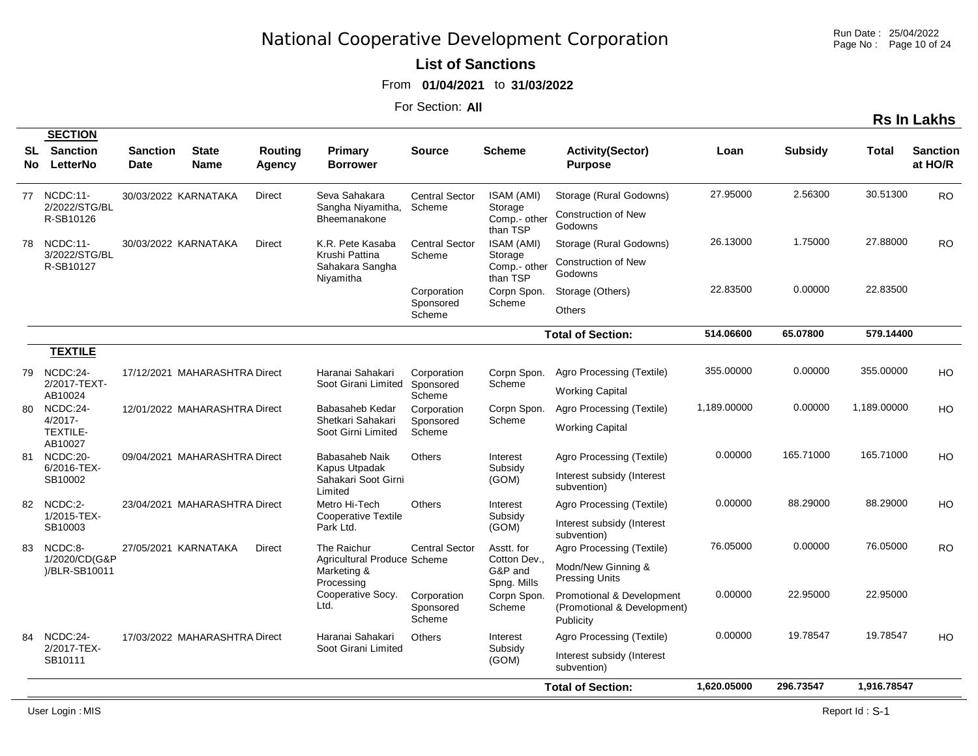Run Date : 25/04/2022 Page No : Page 10 of 24

#### **List of Sanctions**

From **01/04/2021** to **31/03/2022**

|             |                                                      |                                |                               |                   |                                                                         |                                    |                                                      |                                                                          |             |                |              | <b>Rs In Lakhs</b>         |
|-------------|------------------------------------------------------|--------------------------------|-------------------------------|-------------------|-------------------------------------------------------------------------|------------------------------------|------------------------------------------------------|--------------------------------------------------------------------------|-------------|----------------|--------------|----------------------------|
| SL.<br>No l | <b>SECTION</b><br><b>Sanction</b><br>LetterNo        | <b>Sanction</b><br><b>Date</b> | <b>State</b><br><b>Name</b>   | Routing<br>Agency | Primary<br><b>Borrower</b>                                              | <b>Source</b>                      | <b>Scheme</b>                                        | <b>Activity(Sector)</b><br><b>Purpose</b>                                | Loan        | <b>Subsidy</b> | <b>Total</b> | <b>Sanction</b><br>at HO/R |
| 77          | NCDC:11-<br>2/2022/STG/BL<br>R-SB10126               |                                | 30/03/2022 KARNATAKA          | <b>Direct</b>     | Seva Sahakara<br>Sangha Niyamitha,<br>Bheemanakone                      | <b>Central Sector</b><br>Scheme    | ISAM (AMI)<br>Storage<br>Comp.- other<br>than TSP    | Storage (Rural Godowns)<br><b>Construction of New</b><br>Godowns         | 27.95000    | 2.56300        | 30.51300     | <b>RO</b>                  |
| 78          | NCDC:11-<br>3/2022/STG/BL<br>R-SB10127               |                                | 30/03/2022 KARNATAKA          | <b>Direct</b>     | K.R. Pete Kasaba<br>Krushi Pattina<br>Sahakara Sangha<br>Niyamitha      | <b>Central Sector</b><br>Scheme    | ISAM (AMI)<br>Storage<br>Comp.- other<br>than TSP    | Storage (Rural Godowns)<br><b>Construction of New</b><br>Godowns         | 26.13000    | 1.75000        | 27.88000     | <b>RO</b>                  |
|             |                                                      |                                |                               |                   |                                                                         | Corporation<br>Sponsored<br>Scheme | Corpn Spon.<br>Scheme                                | Storage (Others)<br><b>Others</b>                                        | 22.83500    | 0.00000        | 22.83500     |                            |
|             |                                                      |                                |                               |                   |                                                                         |                                    |                                                      | <b>Total of Section:</b>                                                 | 514.06600   | 65.07800       | 579.14400    |                            |
|             | <b>TEXTILE</b>                                       |                                |                               |                   |                                                                         |                                    |                                                      |                                                                          |             |                |              |                            |
| 79          | NCDC:24-<br>2/2017-TEXT-<br>AB10024                  |                                | 17/12/2021 MAHARASHTRA Direct |                   | Haranai Sahakari<br>Soot Girani Limited                                 | Corporation<br>Sponsored<br>Scheme | Corpn Spon.<br>Scheme                                | Agro Processing (Textile)<br><b>Working Capital</b>                      | 355.00000   | 0.00000        | 355.00000    | HO                         |
| 80          | NCDC:24-<br>$4/2017 -$<br><b>TEXTILE-</b><br>AB10027 |                                | 12/01/2022 MAHARASHTRA Direct |                   | Babasaheb Kedar<br>Shetkari Sahakari<br>Soot Girni Limited              | Corporation<br>Sponsored<br>Scheme | Corpn Spon.<br>Scheme                                | Agro Processing (Textile)<br><b>Working Capital</b>                      | 1,189.00000 | 0.00000        | 1,189.00000  | HO                         |
| 81          | NCDC:20-<br>6/2016-TEX-<br>SB10002                   |                                | 09/04/2021 MAHARASHTRA Direct |                   | Babasaheb Naik<br>Kapus Utpadak<br>Sahakari Soot Girni<br>Limited       | <b>Others</b>                      | Interest<br>Subsidy<br>(GOM)                         | Agro Processing (Textile)<br>Interest subsidy (Interest<br>subvention)   | 0.00000     | 165.71000      | 165.71000    | HO                         |
| 82          | NCDC:2-<br>1/2015-TEX-<br>SB10003                    |                                | 23/04/2021 MAHARASHTRA Direct |                   | Metro Hi-Tech<br><b>Cooperative Textile</b><br>Park Ltd.                | <b>Others</b>                      | Interest<br>Subsidy<br>(GOM)                         | Agro Processing (Textile)<br>Interest subsidy (Interest<br>subvention)   | 0.00000     | 88.29000       | 88.29000     | HO                         |
| 83          | NCDC:8-<br>1/2020/CD(G&P<br>)/BLR-SB10011            |                                | 27/05/2021 KARNATAKA          | <b>Direct</b>     | The Raichur<br>Agricultural Produce Scheme<br>Marketing &<br>Processing | <b>Central Sector</b>              | Asstt. for<br>Cotton Dev.,<br>G&P and<br>Spng. Mills | Agro Processing (Textile)<br>Modn/New Ginning &<br><b>Pressing Units</b> | 76.05000    | 0.00000        | 76.05000     | <b>RO</b>                  |
|             |                                                      |                                |                               |                   | Cooperative Socy.<br>Ltd.                                               | Corporation<br>Sponsored<br>Scheme | Corpn Spon.<br>Scheme                                | Promotional & Development<br>(Promotional & Development)<br>Publicity    | 0.00000     | 22.95000       | 22.95000     |                            |
| 84          | NCDC:24-<br>2/2017-TEX-<br>SB10111                   |                                | 17/03/2022 MAHARASHTRA Direct |                   | Haranai Sahakari<br>Soot Girani Limited                                 | <b>Others</b>                      | Interest<br>Subsidy<br>(GOM)                         | Agro Processing (Textile)<br>Interest subsidy (Interest<br>subvention)   | 0.00000     | 19.78547       | 19.78547     | H <sub>O</sub>             |
|             |                                                      |                                |                               |                   |                                                                         |                                    |                                                      | <b>Total of Section:</b>                                                 | 1.620.05000 | 296.73547      | 1,916.78547  |                            |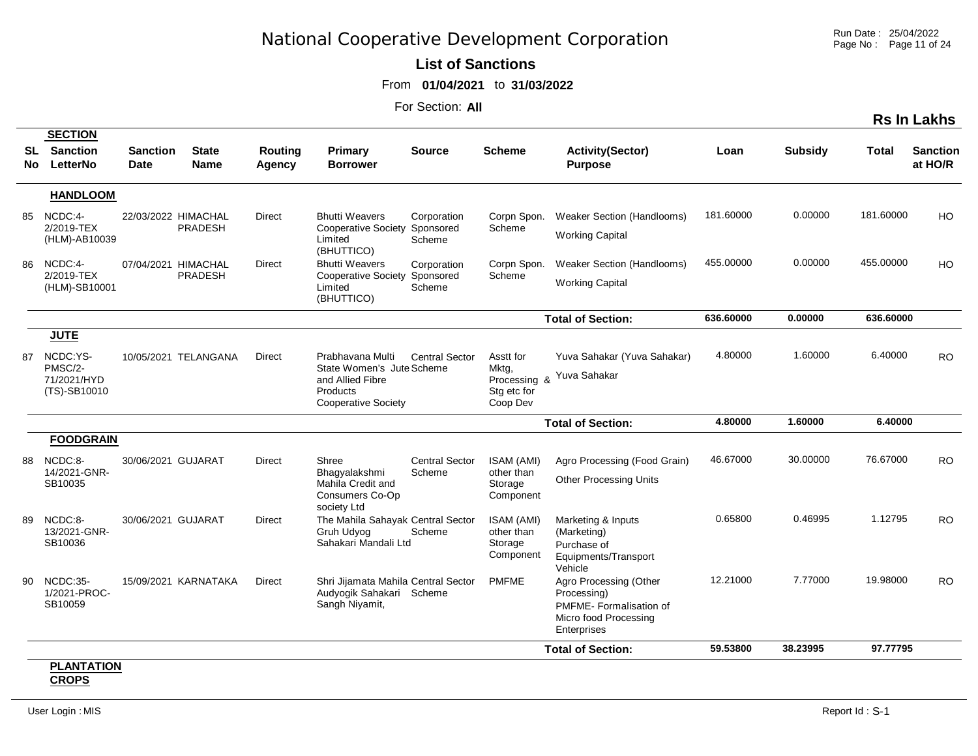Run Date : 25/04/2022 Page No : Page 11 of 24

**Rs In Lakhs**

#### **List of Sanctions**

From **01/04/2021** to **31/03/2022**

For Section: **All**

| SL<br>No. | <b>SECTION</b><br><b>Sanction</b><br>LetterNo | <b>Sanction</b><br>Date | <b>State</b><br><b>Name</b> | <b>Routing</b><br>Agency | Primary<br><b>Borrower</b>                                                              | <b>Source</b>         | <b>Scheme</b>                                    | <b>Activity(Sector)</b><br><b>Purpose</b>                                                               | Loan      | <b>Subsidy</b> | Total     | <b>Sanction</b><br>at HO/R |
|-----------|-----------------------------------------------|-------------------------|-----------------------------|--------------------------|-----------------------------------------------------------------------------------------|-----------------------|--------------------------------------------------|---------------------------------------------------------------------------------------------------------|-----------|----------------|-----------|----------------------------|
|           | <b>HANDLOOM</b>                               |                         |                             |                          |                                                                                         |                       |                                                  |                                                                                                         |           |                |           |                            |
| 85        | NCDC:4-<br>2/2019-TEX<br>(HLM)-AB10039        | 22/03/2022 HIMACHAL     | <b>PRADESH</b>              | <b>Direct</b>            | <b>Bhutti Weavers</b><br>Cooperative Society Sponsored<br>Limited<br>(BHUTTICO)         | Corporation<br>Scheme | Corpn Spon.<br>Scheme                            | <b>Weaker Section (Handlooms)</b><br><b>Working Capital</b>                                             | 181.60000 | 0.00000        | 181.60000 | HO                         |
| 86        | NCDC:4-<br>2/2019-TEX<br>(HLM)-SB10001        | 07/04/2021 HIMACHAL     | <b>PRADESH</b>              | <b>Direct</b>            | <b>Bhutti Weavers</b><br>Cooperative Society Sponsored<br>Limited<br>(BHUTTICO)         | Corporation<br>Scheme | Corpn Spon.<br>Scheme                            | Weaker Section (Handlooms)<br><b>Working Capital</b>                                                    | 455.00000 | 0.00000        | 455.00000 | HO                         |
|           |                                               |                         |                             |                          |                                                                                         |                       |                                                  | <b>Total of Section:</b>                                                                                | 636.60000 | 0.00000        | 636.60000 |                            |
|           | <b>JUTE</b>                                   |                         |                             |                          |                                                                                         |                       |                                                  |                                                                                                         |           |                |           |                            |
| 87        | NCDC:YS-                                      |                         | 10/05/2021 TELANGANA        | <b>Direct</b>            | Prabhavana Multi                                                                        | <b>Central Sector</b> | Asstt for                                        | Yuva Sahakar (Yuva Sahakar)                                                                             | 4.80000   | 1.60000        | 6.40000   | <b>RO</b>                  |
|           | PMSC/2-<br>71/2021/HYD<br>(TS)-SB10010        |                         |                             |                          | State Women's Jute Scheme<br>and Allied Fibre<br>Products<br><b>Cooperative Society</b> |                       | Mktg,<br>Processing &<br>Stg etc for<br>Coop Dev | Yuva Sahakar                                                                                            |           |                |           |                            |
|           |                                               |                         |                             |                          |                                                                                         |                       |                                                  | <b>Total of Section:</b>                                                                                | 4.80000   | 1.60000        | 6.40000   |                            |
|           | <b>FOODGRAIN</b>                              |                         |                             |                          |                                                                                         |                       |                                                  |                                                                                                         |           |                |           |                            |
| 88        | NCDC:8-                                       | 30/06/2021 GUJARAT      |                             | Direct                   | Shree                                                                                   | <b>Central Sector</b> | ISAM (AMI)                                       | Agro Processing (Food Grain)                                                                            | 46.67000  | 30.00000       | 76.67000  | <b>RO</b>                  |
|           | 14/2021-GNR-<br>SB10035                       |                         |                             |                          | Bhagyalakshmi<br>Mahila Credit and<br>Consumers Co-Op<br>society Ltd                    | Scheme                | other than<br>Storage<br>Component               | <b>Other Processing Units</b>                                                                           |           |                |           |                            |
| 89        | NCDC:8-<br>13/2021-GNR-<br>SB10036            | 30/06/2021 GUJARAT      |                             | <b>Direct</b>            | The Mahila Sahayak Central Sector<br>Gruh Udyog<br>Sahakari Mandali Ltd                 | Scheme                | ISAM (AMI)<br>other than<br>Storage<br>Component | Marketing & Inputs<br>(Marketing)<br>Purchase of<br>Equipments/Transport<br>Vehicle                     | 0.65800   | 0.46995        | 1.12795   | <b>RO</b>                  |
| 90.       | NCDC:35-<br>1/2021-PROC-<br>SB10059           |                         | 15/09/2021 KARNATAKA        | Direct                   | Shri Jijamata Mahila Central Sector<br>Audyogik Sahakari Scheme<br>Sangh Niyamit,       |                       | <b>PMFME</b>                                     | Agro Processing (Other<br>Processing)<br>PMFME-Formalisation of<br>Micro food Processing<br>Enterprises | 12.21000  | 7.77000        | 19.98000  | <b>RO</b>                  |
|           |                                               |                         |                             |                          |                                                                                         |                       |                                                  |                                                                                                         |           |                |           |                            |

#### **PLANTATION CROPS**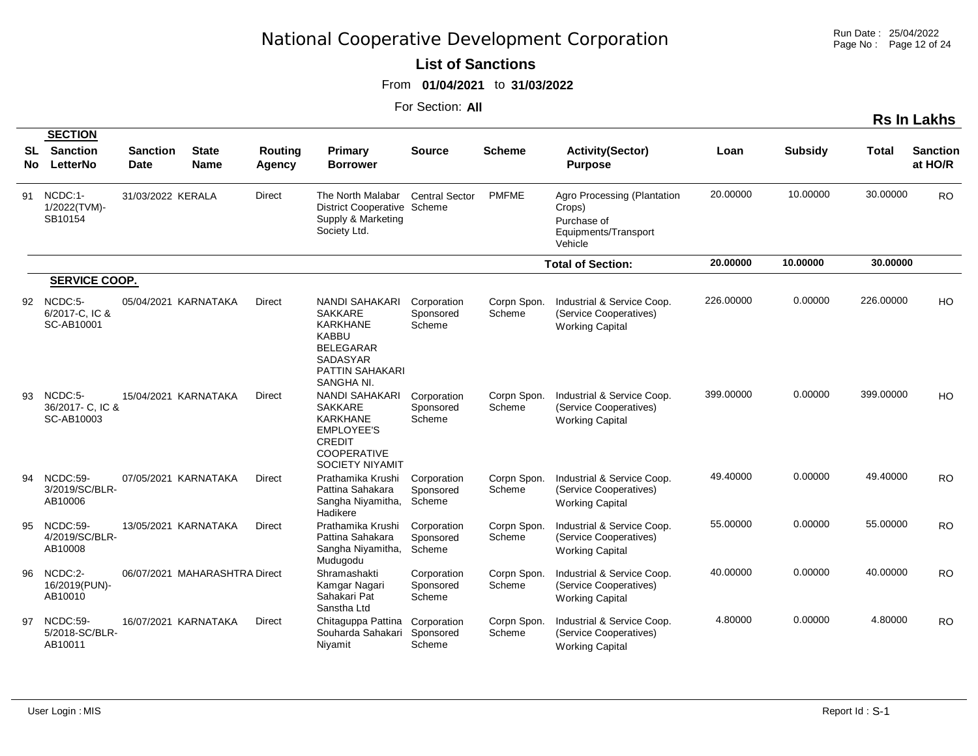Run Date : 25/04/2022 Page No : Page 12 of 24

#### **List of Sanctions**

From **01/04/2021** to **31/03/2022**

|           |                                               |                                |                               |                          |                                                                                                                                                    |                                    |                       |                                                                                         |           |                |           | <b>Rs In Lakhs</b>         |
|-----------|-----------------------------------------------|--------------------------------|-------------------------------|--------------------------|----------------------------------------------------------------------------------------------------------------------------------------------------|------------------------------------|-----------------------|-----------------------------------------------------------------------------------------|-----------|----------------|-----------|----------------------------|
| SL<br>No. | <b>SECTION</b><br><b>Sanction</b><br>LetterNo | <b>Sanction</b><br><b>Date</b> | <b>State</b><br><b>Name</b>   | <b>Routing</b><br>Agency | Primary<br><b>Borrower</b>                                                                                                                         | <b>Source</b>                      | <b>Scheme</b>         | <b>Activity(Sector)</b><br><b>Purpose</b>                                               | Loan      | <b>Subsidy</b> | Total     | <b>Sanction</b><br>at HO/R |
| 91        | NCDC:1-<br>1/2022(TVM)-<br>SB10154            | 31/03/2022 KERALA              |                               | Direct                   | The North Malabar<br>District Cooperative Scheme<br>Supply & Marketing<br>Society Ltd.                                                             | <b>Central Sector</b>              | <b>PMFME</b>          | Agro Processing (Plantation<br>Crops)<br>Purchase of<br>Equipments/Transport<br>Vehicle | 20.00000  | 10.00000       | 30.00000  | <b>RO</b>                  |
|           |                                               |                                |                               |                          |                                                                                                                                                    |                                    |                       | <b>Total of Section:</b>                                                                | 20.00000  | 10.00000       | 30.00000  |                            |
|           | <b>SERVICE COOP.</b>                          |                                |                               |                          |                                                                                                                                                    |                                    |                       |                                                                                         |           |                |           |                            |
|           | 92 NCDC:5-<br>6/2017-C. IC &<br>SC-AB10001    |                                | 05/04/2021 KARNATAKA          | Direct                   | <b>NANDI SAHAKARI</b><br><b>SAKKARE</b><br><b>KARKHANE</b><br><b>KABBU</b><br><b>BELEGARAR</b><br><b>SADASYAR</b><br>PATTIN SAHAKARI<br>SANGHA NI. | Corporation<br>Sponsored<br>Scheme | Corpn Spon.<br>Scheme | Industrial & Service Coop.<br>(Service Cooperatives)<br><b>Working Capital</b>          | 226.00000 | 0.00000        | 226.00000 | HO                         |
| 93.       | NCDC:5-<br>36/2017- C, IC &<br>SC-AB10003     |                                | 15/04/2021 KARNATAKA          | Direct                   | <b>NANDI SAHAKARI</b><br><b>SAKKARE</b><br><b>KARKHANE</b><br><b>EMPLOYEE'S</b><br><b>CREDIT</b><br><b>COOPERATIVE</b><br><b>SOCIETY NIYAMIT</b>   | Corporation<br>Sponsored<br>Scheme | Corpn Spon.<br>Scheme | Industrial & Service Coop.<br>(Service Cooperatives)<br><b>Working Capital</b>          | 399.00000 | 0.00000        | 399.00000 | HO                         |
|           | 94 NCDC:59-<br>3/2019/SC/BLR-<br>AB10006      |                                | 07/05/2021 KARNATAKA          | Direct                   | Prathamika Krushi<br>Pattina Sahakara<br>Sangha Niyamitha,<br>Hadikere                                                                             | Corporation<br>Sponsored<br>Scheme | Corpn Spon.<br>Scheme | Industrial & Service Coop.<br>(Service Cooperatives)<br><b>Working Capital</b>          | 49.40000  | 0.00000        | 49.40000  | <b>RO</b>                  |
| 95        | NCDC:59-<br>4/2019/SC/BLR-<br>AB10008         |                                | 13/05/2021 KARNATAKA          | Direct                   | Prathamika Krushi<br>Pattina Sahakara<br>Sangha Niyamitha,<br>Mudugodu                                                                             | Corporation<br>Sponsored<br>Scheme | Corpn Spon.<br>Scheme | Industrial & Service Coop.<br>(Service Cooperatives)<br><b>Working Capital</b>          | 55.00000  | 0.00000        | 55.00000  | <b>RO</b>                  |
| 96        | NCDC:2-<br>16/2019(PUN)-<br>AB10010           |                                | 06/07/2021 MAHARASHTRA Direct |                          | Shramashakti<br>Kamgar Nagari<br>Sahakari Pat<br>Sanstha Ltd                                                                                       | Corporation<br>Sponsored<br>Scheme | Corpn Spon.<br>Scheme | Industrial & Service Coop.<br>(Service Cooperatives)<br><b>Working Capital</b>          | 40.00000  | 0.00000        | 40.00000  | <b>RO</b>                  |
| 97        | NCDC:59-<br>5/2018-SC/BLR-<br>AB10011         |                                | 16/07/2021 KARNATAKA          | Direct                   | Chitaguppa Pattina<br>Souharda Sahakari<br>Niyamit                                                                                                 | Corporation<br>Sponsored<br>Scheme | Corpn Spon.<br>Scheme | Industrial & Service Coop.<br>(Service Cooperatives)<br><b>Working Capital</b>          | 4.80000   | 0.00000        | 4.80000   | <b>RO</b>                  |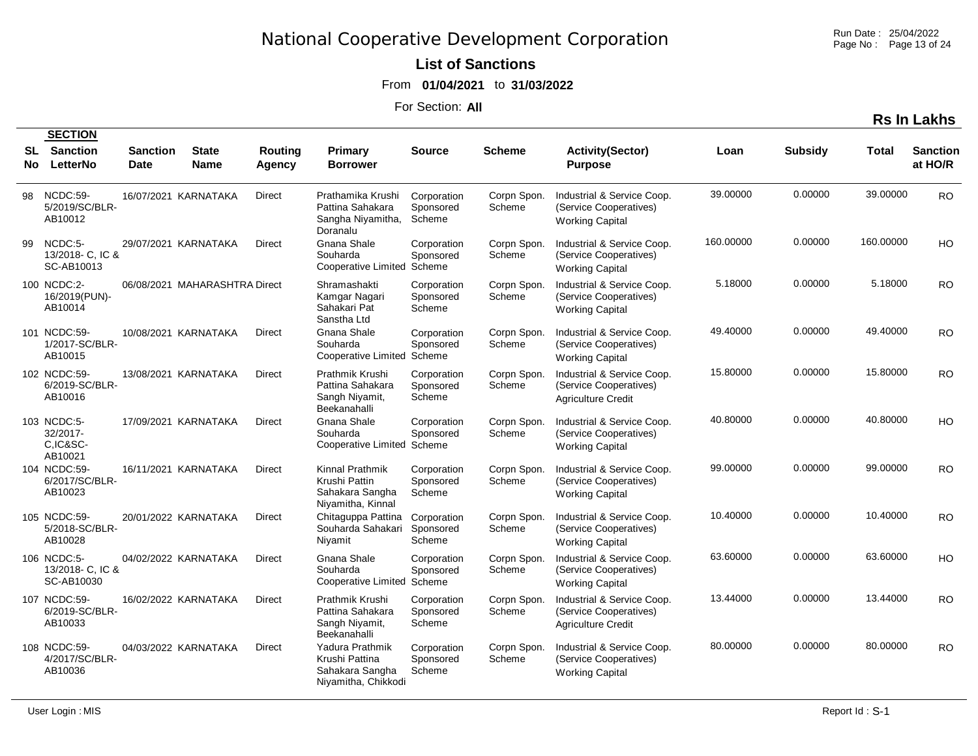Run Date : 25/04/2022 Page No : Page 13 of 24

#### **List of Sanctions**

From **01/04/2021** to **31/03/2022**

| <b>Rs In Lakhs</b> |
|--------------------|
|--------------------|

|                   | <b>SECTION</b>                                 |                                |                               |                   |                                                                             |                                    |                       |                                                                                   |           |                |           |                            |
|-------------------|------------------------------------------------|--------------------------------|-------------------------------|-------------------|-----------------------------------------------------------------------------|------------------------------------|-----------------------|-----------------------------------------------------------------------------------|-----------|----------------|-----------|----------------------------|
| <b>SL</b><br>No l | <b>Sanction</b><br>LetterNo                    | <b>Sanction</b><br><b>Date</b> | <b>State</b><br><b>Name</b>   | Routing<br>Agency | Primary<br><b>Borrower</b>                                                  | Source                             | <b>Scheme</b>         | <b>Activity(Sector)</b><br><b>Purpose</b>                                         | Loan      | <b>Subsidy</b> | Total     | <b>Sanction</b><br>at HO/R |
| 98                | NCDC:59-<br>5/2019/SC/BLR-<br>AB10012          |                                | 16/07/2021 KARNATAKA          | Direct            | Prathamika Krushi<br>Pattina Sahakara<br>Sangha Niyamitha,<br>Doranalu      | Corporation<br>Sponsored<br>Scheme | Corpn Spon.<br>Scheme | Industrial & Service Coop.<br>(Service Cooperatives)<br><b>Working Capital</b>    | 39.00000  | 0.00000        | 39.00000  | <b>RO</b>                  |
| 99                | NCDC:5-<br>13/2018 - C. IC &<br>SC-AB10013     |                                | 29/07/2021 KARNATAKA          | Direct            | Gnana Shale<br>Souharda<br>Cooperative Limited Scheme                       | Corporation<br>Sponsored           | Corpn Spon.<br>Scheme | Industrial & Service Coop.<br>(Service Cooperatives)<br><b>Working Capital</b>    | 160.00000 | 0.00000        | 160.00000 | HO                         |
|                   | 100 NCDC:2-<br>16/2019(PUN)-<br>AB10014        |                                | 06/08/2021 MAHARASHTRA Direct |                   | Shramashakti<br>Kamgar Nagari<br>Sahakari Pat<br>Sanstha Ltd                | Corporation<br>Sponsored<br>Scheme | Corpn Spon.<br>Scheme | Industrial & Service Coop.<br>(Service Cooperatives)<br><b>Working Capital</b>    | 5.18000   | 0.00000        | 5.18000   | <b>RO</b>                  |
|                   | 101 NCDC:59-<br>1/2017-SC/BLR-<br>AB10015      |                                | 10/08/2021 KARNATAKA          | <b>Direct</b>     | Gnana Shale<br>Souharda<br>Cooperative Limited Scheme                       | Corporation<br>Sponsored           | Corpn Spon.<br>Scheme | Industrial & Service Coop.<br>(Service Cooperatives)<br><b>Working Capital</b>    | 49.40000  | 0.00000        | 49.40000  | <b>RO</b>                  |
|                   | 102 NCDC:59-<br>6/2019-SC/BLR-<br>AB10016      |                                | 13/08/2021 KARNATAKA          | Direct            | Prathmik Krushi<br>Pattina Sahakara<br>Sangh Niyamit,<br>Beekanahalli       | Corporation<br>Sponsored<br>Scheme | Corpn Spon.<br>Scheme | Industrial & Service Coop.<br>(Service Cooperatives)<br><b>Agriculture Credit</b> | 15.80000  | 0.00000        | 15.80000  | <b>RO</b>                  |
|                   | 103 NCDC:5-<br>32/2017-<br>C,IC&SC-<br>AB10021 |                                | 17/09/2021 KARNATAKA          | <b>Direct</b>     | Gnana Shale<br>Souharda<br>Cooperative Limited Scheme                       | Corporation<br>Sponsored           | Corpn Spon.<br>Scheme | Industrial & Service Coop.<br>(Service Cooperatives)<br><b>Working Capital</b>    | 40.80000  | 0.00000        | 40.80000  | HO                         |
|                   | 104 NCDC:59-<br>6/2017/SC/BLR-<br>AB10023      |                                | 16/11/2021 KARNATAKA          | Direct            | Kinnal Prathmik<br>Krushi Pattin<br>Sahakara Sangha<br>Niyamitha, Kinnal    | Corporation<br>Sponsored<br>Scheme | Corpn Spon.<br>Scheme | Industrial & Service Coop.<br>(Service Cooperatives)<br><b>Working Capital</b>    | 99.00000  | 0.00000        | 99.00000  | <b>RO</b>                  |
|                   | 105 NCDC:59-<br>5/2018-SC/BLR-<br>AB10028      |                                | 20/01/2022 KARNATAKA          | Direct            | Chitaguppa Pattina<br>Souharda Sahakari<br>Niyamit                          | Corporation<br>Sponsored<br>Scheme | Corpn Spon.<br>Scheme | Industrial & Service Coop.<br>(Service Cooperatives)<br><b>Working Capital</b>    | 10.40000  | 0.00000        | 10.40000  | <b>RO</b>                  |
|                   | 106 NCDC:5-<br>13/2018- C, IC &<br>SC-AB10030  |                                | 04/02/2022 KARNATAKA          | Direct            | Gnana Shale<br>Souharda<br>Cooperative Limited Scheme                       | Corporation<br>Sponsored           | Corpn Spon.<br>Scheme | Industrial & Service Coop.<br>(Service Cooperatives)<br><b>Working Capital</b>    | 63.60000  | 0.00000        | 63.60000  | HO                         |
|                   | 107 NCDC:59-<br>6/2019-SC/BLR-<br>AB10033      |                                | 16/02/2022 KARNATAKA          | Direct            | Prathmik Krushi<br>Pattina Sahakara<br>Sangh Niyamit,<br>Beekanahalli       | Corporation<br>Sponsored<br>Scheme | Corpn Spon.<br>Scheme | Industrial & Service Coop.<br>(Service Cooperatives)<br><b>Agriculture Credit</b> | 13.44000  | 0.00000        | 13.44000  | <b>RO</b>                  |
|                   | 108 NCDC:59-<br>4/2017/SC/BLR-<br>AB10036      |                                | 04/03/2022 KARNATAKA          | <b>Direct</b>     | Yadura Prathmik<br>Krushi Pattina<br>Sahakara Sangha<br>Niyamitha, Chikkodi | Corporation<br>Sponsored<br>Scheme | Corpn Spon.<br>Scheme | Industrial & Service Coop.<br>(Service Cooperatives)<br><b>Working Capital</b>    | 80.00000  | 0.00000        | 80.00000  | <b>RO</b>                  |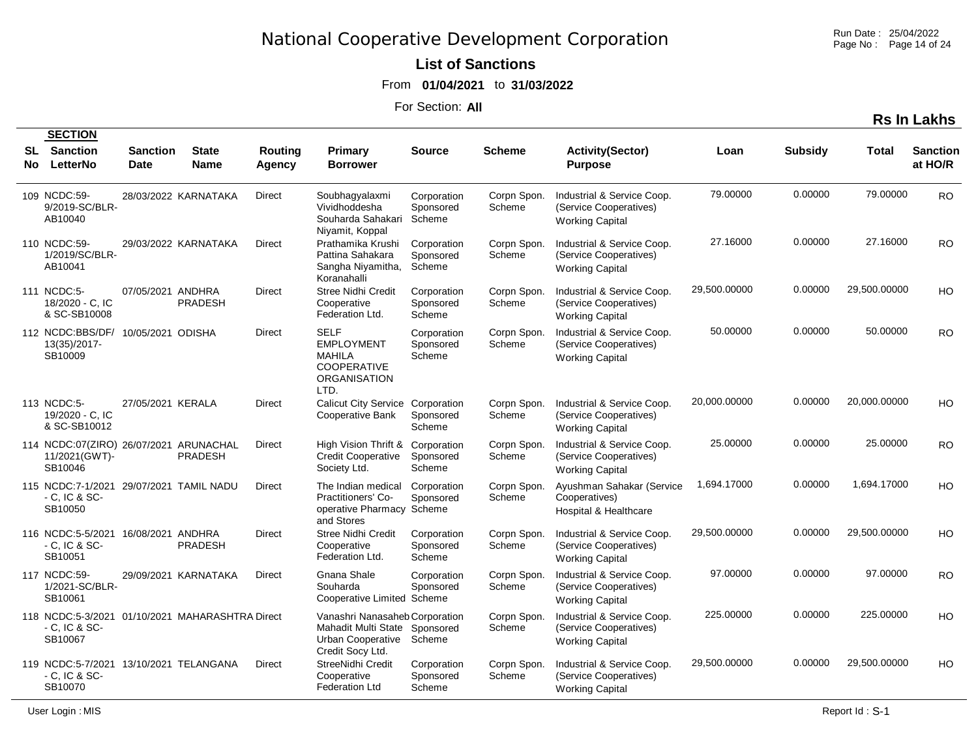Run Date : 25/04/2022 Page No : Page 14 of 24

#### **List of Sanctions**

From **01/04/2021** to **31/03/2022**

| <b>Rs In Lakhs</b> |
|--------------------|
|--------------------|

|           | <b>SECTION</b>                                                                   |                         |                      |                          |                                                                                                                 |                                    |                       |                                                                                |              |                |              |                            |
|-----------|----------------------------------------------------------------------------------|-------------------------|----------------------|--------------------------|-----------------------------------------------------------------------------------------------------------------|------------------------------------|-----------------------|--------------------------------------------------------------------------------|--------------|----------------|--------------|----------------------------|
| SL<br>No. | <b>Sanction</b><br>LetterNo                                                      | <b>Sanction</b><br>Date | <b>State</b><br>Name | Routing<br><b>Agency</b> | <b>Primary</b><br><b>Borrower</b>                                                                               | <b>Source</b>                      | <b>Scheme</b>         | <b>Activity(Sector)</b><br><b>Purpose</b>                                      | Loan         | <b>Subsidy</b> | Total        | <b>Sanction</b><br>at HO/R |
|           | 109 NCDC:59-<br>9/2019-SC/BLR-<br>AB10040                                        |                         | 28/03/2022 KARNATAKA | Direct                   | Soubhagyalaxmi<br>Vividhoddesha<br>Souharda Sahakari Scheme<br>Niyamit, Koppal                                  | Corporation<br>Sponsored           | Corpn Spon.<br>Scheme | Industrial & Service Coop.<br>(Service Cooperatives)<br><b>Working Capital</b> | 79.00000     | 0.00000        | 79.00000     | <b>RO</b>                  |
|           | 110 NCDC:59-<br>1/2019/SC/BLR-<br>AB10041                                        |                         | 29/03/2022 KARNATAKA | Direct                   | Prathamika Krushi<br>Pattina Sahakara<br>Sangha Niyamitha,<br>Koranahalli                                       | Corporation<br>Sponsored<br>Scheme | Corpn Spon.<br>Scheme | Industrial & Service Coop.<br>(Service Cooperatives)<br><b>Working Capital</b> | 27.16000     | 0.00000        | 27.16000     | <b>RO</b>                  |
|           | 111 NCDC:5-<br>18/2020 - C, IC<br>& SC-SB10008                                   | 07/05/2021 ANDHRA       | <b>PRADESH</b>       | Direct                   | <b>Stree Nidhi Credit</b><br>Cooperative<br>Federation Ltd.                                                     | Corporation<br>Sponsored<br>Scheme | Corpn Spon.<br>Scheme | Industrial & Service Coop.<br>(Service Cooperatives)<br><b>Working Capital</b> | 29,500.00000 | 0.00000        | 29,500.00000 | HO                         |
|           | 112 NCDC:BBS/DF/ 10/05/2021 ODISHA<br>13(35)/2017-<br>SB10009                    |                         |                      | Direct                   | <b>SELF</b><br><b>EMPLOYMENT</b><br>MAHILA<br><b>COOPERATIVE</b><br><b>ORGANISATION</b><br>LTD.                 | Corporation<br>Sponsored<br>Scheme | Corpn Spon.<br>Scheme | Industrial & Service Coop.<br>(Service Cooperatives)<br><b>Working Capital</b> | 50.00000     | 0.00000        | 50.00000     | <b>RO</b>                  |
|           | 113 NCDC:5-<br>19/2020 - C, IC<br>& SC-SB10012                                   | 27/05/2021 KERALA       |                      | Direct                   | <b>Calicut City Service</b><br>Cooperative Bank                                                                 | Corporation<br>Sponsored<br>Scheme | Corpn Spon.<br>Scheme | Industrial & Service Coop.<br>(Service Cooperatives)<br><b>Working Capital</b> | 20,000.00000 | 0.00000        | 20,000.00000 | HO                         |
|           | 114 NCDC:07(ZIRO) 26/07/2021 ARUNACHAL<br>11/2021(GWT)-<br>SB10046               |                         | <b>PRADESH</b>       | <b>Direct</b>            | High Vision Thrift & Corporation<br><b>Credit Cooperative</b><br>Society Ltd.                                   | Sponsored<br>Scheme                | Corpn Spon.<br>Scheme | Industrial & Service Coop.<br>(Service Cooperatives)<br><b>Working Capital</b> | 25.00000     | 0.00000        | 25.00000     | <b>RO</b>                  |
|           | 115 NCDC:7-1/2021 29/07/2021 TAMIL NADU<br>- C, IC & SC-<br>SB10050              |                         |                      | <b>Direct</b>            | The Indian medical<br><b>Practitioners' Co-</b><br>operative Pharmacy Scheme<br>and Stores                      | Corporation<br>Sponsored           | Corpn Spon.<br>Scheme | Ayushman Sahakar (Service<br>Cooperatives)<br>Hospital & Healthcare            | 1,694.17000  | 0.00000        | 1,694.17000  | HO                         |
|           | 116 NCDC:5-5/2021 16/08/2021 ANDHRA<br>- C, IC & SC-<br>SB10051                  |                         | <b>PRADESH</b>       | Direct                   | <b>Stree Nidhi Credit</b><br>Cooperative<br>Federation Ltd.                                                     | Corporation<br>Sponsored<br>Scheme | Corpn Spon.<br>Scheme | Industrial & Service Coop.<br>(Service Cooperatives)<br><b>Working Capital</b> | 29,500.00000 | 0.00000        | 29,500.00000 | HO                         |
|           | 117 NCDC:59-<br>1/2021-SC/BLR-<br>SB10061                                        |                         | 29/09/2021 KARNATAKA | Direct                   | Gnana Shale<br>Souharda<br>Cooperative Limited Scheme                                                           | Corporation<br>Sponsored           | Corpn Spon.<br>Scheme | Industrial & Service Coop.<br>(Service Cooperatives)<br><b>Working Capital</b> | 97.00000     | 0.00000        | 97.00000     | <b>RO</b>                  |
|           | 118 NCDC:5-3/2021 01/10/2021 MAHARASHTRA Direct<br>$-$ C, IC & SC $-$<br>SB10067 |                         |                      |                          | Vanashri Nanasaheb Corporation<br>Mahadit Multi State Sponsored<br>Urban Cooperative Scheme<br>Credit Socy Ltd. |                                    | Corpn Spon.<br>Scheme | Industrial & Service Coop.<br>(Service Cooperatives)<br><b>Working Capital</b> | 225.00000    | 0.00000        | 225.00000    | HO                         |
|           | 119 NCDC:5-7/2021 13/10/2021 TELANGANA<br>- C, IC & SC-<br>SB10070               |                         |                      | <b>Direct</b>            | StreeNidhi Credit<br>Cooperative<br>Federation Ltd                                                              | Corporation<br>Sponsored<br>Scheme | Corpn Spon.<br>Scheme | Industrial & Service Coop.<br>(Service Cooperatives)<br><b>Working Capital</b> | 29,500.00000 | 0.00000        | 29,500.00000 | HO                         |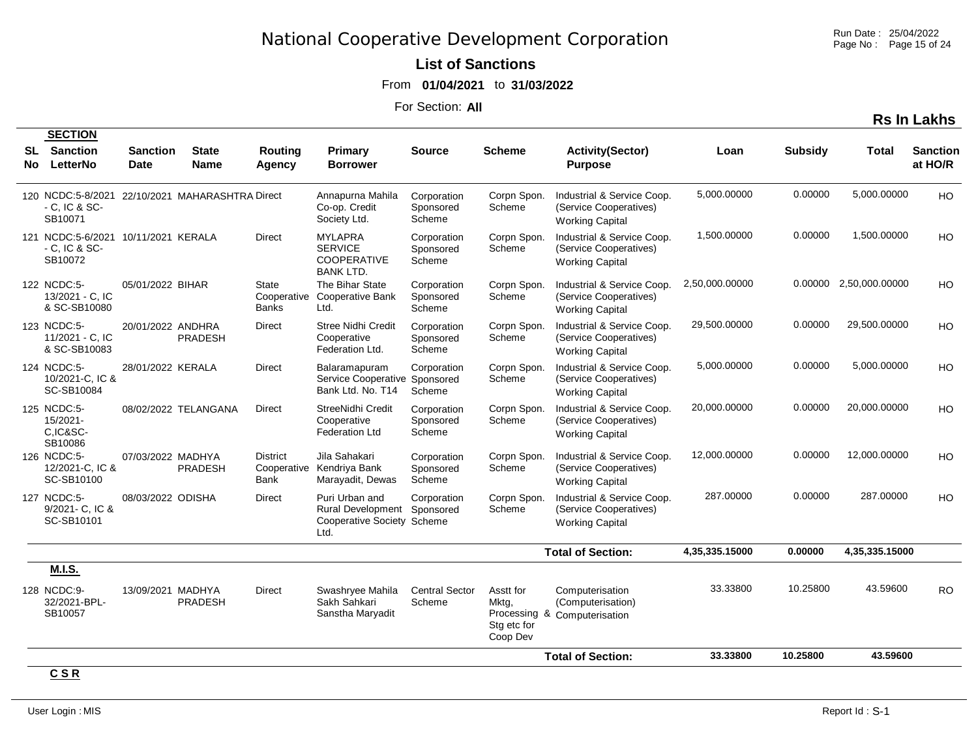Run Date : 25/04/2022 Page No : Page 15 of 24

### **List of Sanctions**

From **01/04/2021** to **31/03/2022**

For Section: **All**

| п. | . .<br>- 1 |
|----|------------|
|    |            |

|           | <b>SECTION</b>                                                       |                                |                                                 |                                        |                                                                                     |                                    |                                               |                                                                                |                |                |                        |                            |
|-----------|----------------------------------------------------------------------|--------------------------------|-------------------------------------------------|----------------------------------------|-------------------------------------------------------------------------------------|------------------------------------|-----------------------------------------------|--------------------------------------------------------------------------------|----------------|----------------|------------------------|----------------------------|
| SL<br>No. | <b>Sanction</b><br>LetterNo                                          | <b>Sanction</b><br><b>Date</b> | <b>State</b><br><b>Name</b>                     | Routing<br>Agency                      | Primary<br><b>Borrower</b>                                                          | <b>Source</b>                      | <b>Scheme</b>                                 | <b>Activity(Sector)</b><br><b>Purpose</b>                                      | Loan           | <b>Subsidy</b> | Total                  | <b>Sanction</b><br>at HO/R |
|           | $-$ C, IC & SC $-$<br>SB10071                                        |                                | 120 NCDC:5-8/2021 22/10/2021 MAHARASHTRA Direct |                                        | Annapurna Mahila<br>Co-op. Credit<br>Society Ltd.                                   | Corporation<br>Sponsored<br>Scheme | Corpn Spon.<br>Scheme                         | Industrial & Service Coop.<br>(Service Cooperatives)<br><b>Working Capital</b> | 5,000.00000    | 0.00000        | 5,000.00000            | HO                         |
|           | 121 NCDC:5-6/2021 10/11/2021 KERALA<br>$-$ C, IC & SC $-$<br>SB10072 |                                |                                                 | <b>Direct</b>                          | <b>MYLAPRA</b><br><b>SERVICE</b><br><b>COOPERATIVE</b><br><b>BANK LTD.</b>          | Corporation<br>Sponsored<br>Scheme | Corpn Spon.<br>Scheme                         | Industrial & Service Coop.<br>(Service Cooperatives)<br><b>Working Capital</b> | 1,500.00000    | 0.00000        | 1,500.00000            | <b>HO</b>                  |
|           | 122 NCDC:5-<br>13/2021 - C, IC<br>& SC-SB10080                       | 05/01/2022 BIHAR               |                                                 | State<br>Cooperative<br><b>Banks</b>   | The Bihar State<br><b>Cooperative Bank</b><br>Ltd.                                  | Corporation<br>Sponsored<br>Scheme | Corpn Spon.<br>Scheme                         | Industrial & Service Coop.<br>(Service Cooperatives)<br><b>Working Capital</b> | 2,50,000.00000 |                | 0.00000 2,50,000.00000 | <b>HO</b>                  |
|           | 123 NCDC:5-<br>11/2021 - C, IC<br>& SC-SB10083                       | 20/01/2022 ANDHRA              | PRADESH                                         | <b>Direct</b>                          | <b>Stree Nidhi Credit</b><br>Cooperative<br>Federation Ltd.                         | Corporation<br>Sponsored<br>Scheme | Corpn Spon.<br>Scheme                         | Industrial & Service Coop.<br>(Service Cooperatives)<br><b>Working Capital</b> | 29,500.00000   | 0.00000        | 29,500.00000           | HO                         |
|           | 124 NCDC:5-<br>10/2021-C. IC &<br>SC-SB10084                         | 28/01/2022 KERALA              |                                                 | Direct                                 | Balaramapuram<br>Service Cooperative Sponsored<br>Bank Ltd. No. T14                 | Corporation<br>Scheme              | Corpn Spon.<br>Scheme                         | Industrial & Service Coop.<br>(Service Cooperatives)<br><b>Working Capital</b> | 5,000.00000    | 0.00000        | 5,000.00000            | HO                         |
|           | 125 NCDC:5-<br>15/2021-<br>C,IC&SC-<br>SB10086                       |                                | 08/02/2022 TELANGANA                            | <b>Direct</b>                          | StreeNidhi Credit<br>Cooperative<br><b>Federation Ltd</b>                           | Corporation<br>Sponsored<br>Scheme | Corpn Spon.<br>Scheme                         | Industrial & Service Coop.<br>(Service Cooperatives)<br><b>Working Capital</b> | 20,000.00000   | 0.00000        | 20,000.00000           | HO                         |
|           | 126 NCDC:5-<br>12/2021-C, IC &<br>SC-SB10100                         | 07/03/2022 MADHYA              | <b>PRADESH</b>                                  | <b>District</b><br>Cooperative<br>Bank | Jila Sahakari<br>Kendriya Bank<br>Marayadit, Dewas                                  | Corporation<br>Sponsored<br>Scheme | Corpn Spon.<br>Scheme                         | Industrial & Service Coop.<br>(Service Cooperatives)<br><b>Working Capital</b> | 12,000.00000   | 0.00000        | 12.000.00000           | <b>HO</b>                  |
|           | 127 NCDC:5-<br>9/2021- C, IC &<br>SC-SB10101                         | 08/03/2022 ODISHA              |                                                 | <b>Direct</b>                          | Puri Urban and<br>Rural Development Sponsored<br>Cooperative Society Scheme<br>Ltd. | Corporation                        | Corpn Spon.<br>Scheme                         | Industrial & Service Coop.<br>(Service Cooperatives)<br><b>Working Capital</b> | 287.00000      | 0.00000        | 287.00000              | HO                         |
|           |                                                                      |                                |                                                 |                                        |                                                                                     |                                    |                                               | <b>Total of Section:</b>                                                       | 4,35,335.15000 | 0.00000        | 4,35,335.15000         |                            |
|           | <b>M.I.S.</b>                                                        |                                |                                                 |                                        |                                                                                     |                                    |                                               |                                                                                |                |                |                        |                            |
|           | 128 NCDC:9-<br>32/2021-BPL-<br>SB10057                               | 13/09/2021 MADHYA              | <b>PRADESH</b>                                  | Direct                                 | Swashryee Mahila<br>Sakh Sahkari<br>Sanstha Maryadit                                | <b>Central Sector</b><br>Scheme    | Asstt for<br>Mktg,<br>Stg etc for<br>Coop Dev | Computerisation<br>(Computerisation)<br>Processing & Computerisation           | 33.33800       | 10.25800       | 43.59600               | <b>RO</b>                  |
|           |                                                                      |                                |                                                 |                                        |                                                                                     |                                    |                                               | <b>Total of Section:</b>                                                       | 33.33800       | 10.25800       | 43.59600               |                            |
|           | <b>CCD</b>                                                           |                                |                                                 |                                        |                                                                                     |                                    |                                               |                                                                                |                |                |                        |                            |

**C S R**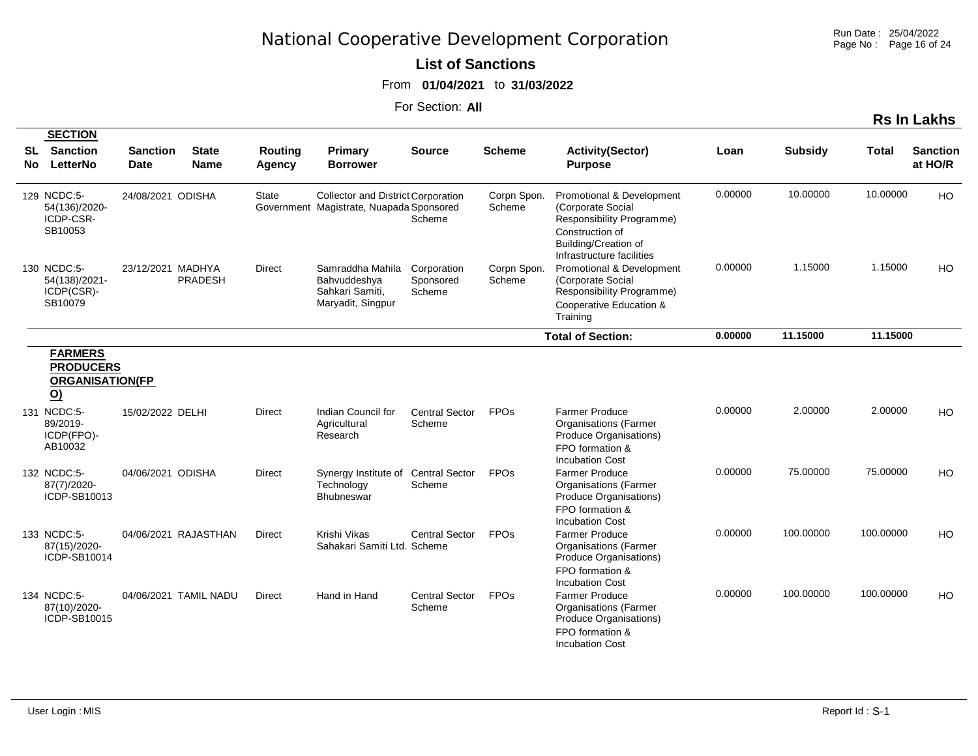Run Date : 25/04/2022 Page No : Page 16 of 24

**Rs In Lakhs**

#### **List of Sanctions**

From **01/04/2021** to **31/03/2022**

For Section: **All**

|            | <b>SECTION</b>                                                                           |                                |                             |                          |                                                                                       |                                    |                       |                                                                                                                                                     |         |                |              |                            |
|------------|------------------------------------------------------------------------------------------|--------------------------------|-----------------------------|--------------------------|---------------------------------------------------------------------------------------|------------------------------------|-----------------------|-----------------------------------------------------------------------------------------------------------------------------------------------------|---------|----------------|--------------|----------------------------|
| SL.<br>No. | <b>Sanction</b><br>LetterNo                                                              | <b>Sanction</b><br><b>Date</b> | <b>State</b><br><b>Name</b> | <b>Routing</b><br>Agency | <b>Primary</b><br><b>Borrower</b>                                                     | <b>Source</b>                      | <b>Scheme</b>         | <b>Activity(Sector)</b><br><b>Purpose</b>                                                                                                           | Loan    | <b>Subsidy</b> | <b>Total</b> | <b>Sanction</b><br>at HO/R |
|            | 129 NCDC:5-<br>54(136)/2020-<br>ICDP-CSR-<br>SB10053                                     | 24/08/2021 ODISHA              |                             | State                    | <b>Collector and District Corporation</b><br>Government Magistrate, Nuapada Sponsored | Scheme                             | Corpn Spon.<br>Scheme | Promotional & Development<br>(Corporate Social<br>Responsibility Programme)<br>Construction of<br>Building/Creation of<br>Infrastructure facilities | 0.00000 | 10.00000       | 10.00000     | <b>HO</b>                  |
|            | 130 NCDC:5-<br>54(138)/2021-<br>ICDP(CSR)-<br>SB10079                                    | 23/12/2021 MADHYA              | <b>PRADESH</b>              | <b>Direct</b>            | Samraddha Mahila<br>Bahvuddeshya<br>Sahkari Samiti,<br>Maryadit, Singpur              | Corporation<br>Sponsored<br>Scheme | Corpn Spon.<br>Scheme | Promotional & Development<br>(Corporate Social<br>Responsibility Programme)<br>Cooperative Education &<br>Training                                  | 0.00000 | 1.15000        | 1.15000      | HO                         |
|            |                                                                                          |                                |                             |                          |                                                                                       |                                    |                       | <b>Total of Section:</b>                                                                                                                            | 0.00000 | 11.15000       | 11.15000     |                            |
|            | <b>FARMERS</b><br><b>PRODUCERS</b><br><b>ORGANISATION(FP</b><br><u>(0</u><br>131 NCDC:5- | 15/02/2022 DELHI               |                             | <b>Direct</b>            | Indian Council for                                                                    | <b>Central Sector</b>              | <b>FPOs</b>           | <b>Farmer Produce</b>                                                                                                                               | 0.00000 | 2.00000        | 2.00000      | HO                         |
|            | 89/2019-<br>ICDP(FPO)-<br>AB10032                                                        |                                |                             |                          | Agricultural<br>Research                                                              | Scheme                             |                       | <b>Organisations (Farmer</b><br>Produce Organisations)<br>FPO formation &<br><b>Incubation Cost</b>                                                 |         |                |              |                            |
|            | 132 NCDC:5-<br>87(7)/2020-<br>ICDP-SB10013                                               | 04/06/2021 ODISHA              |                             | <b>Direct</b>            | Synergy Institute of<br>Technology<br><b>Bhubneswar</b>                               | <b>Central Sector</b><br>Scheme    | <b>FPOs</b>           | <b>Farmer Produce</b><br><b>Organisations (Farmer</b><br>Produce Organisations)<br>FPO formation &<br><b>Incubation Cost</b>                        | 0.00000 | 75.00000       | 75.00000     | HO                         |
|            | 133 NCDC:5-<br>87(15)/2020-<br>ICDP-SB10014                                              |                                | 04/06/2021 RAJASTHAN        | Direct                   | Krishi Vikas<br>Sahakari Samiti Ltd. Scheme                                           | <b>Central Sector</b>              | <b>FPOs</b>           | <b>Farmer Produce</b><br><b>Organisations (Farmer</b><br>Produce Organisations)<br>FPO formation &<br><b>Incubation Cost</b>                        | 0.00000 | 100.00000      | 100.00000    | HO                         |
|            | 134 NCDC:5-<br>87(10)/2020-<br>ICDP-SB10015                                              |                                | 04/06/2021 TAMIL NADU       | <b>Direct</b>            | Hand in Hand                                                                          | <b>Central Sector</b><br>Scheme    | <b>FPOs</b>           | <b>Farmer Produce</b><br><b>Organisations (Farmer</b><br><b>Produce Organisations)</b><br>FPO formation &                                           | 0.00000 | 100.00000      | 100.00000    | HO                         |

Incubation Cost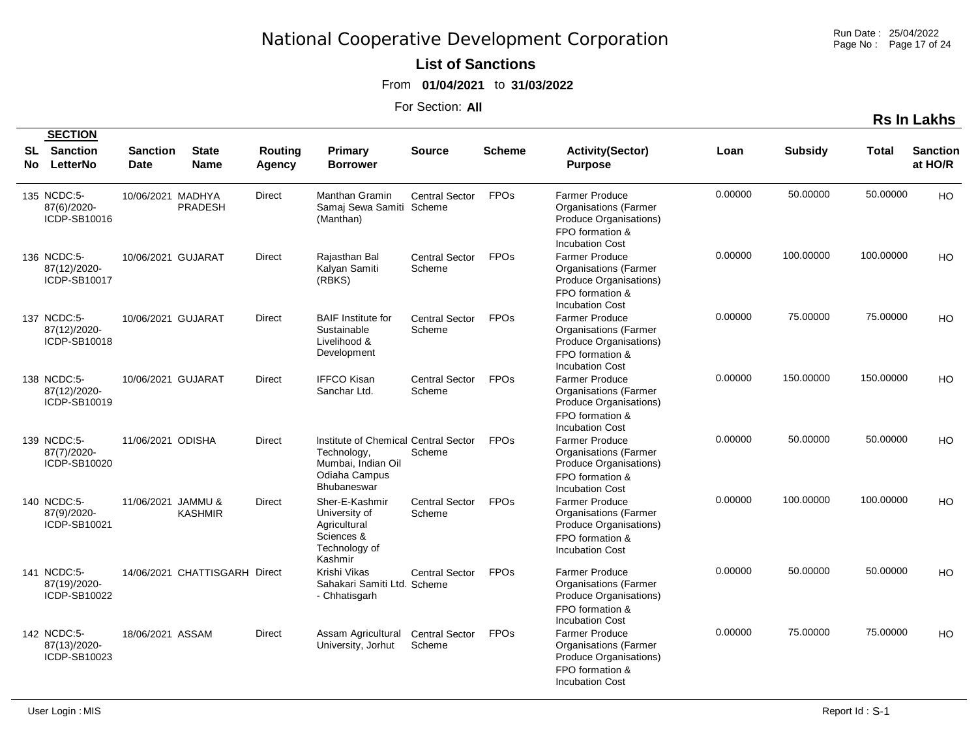Run Date : 25/04/2022 Page No : Page 17 of 24

#### **List of Sanctions**

From **01/04/2021** to **31/03/2022**

For Section: **All**

|    | <b>SECTION</b>                              |                                |                               |                   |                                                                                                      |                                 |                        |                                                                                                                                                 |         |                |           |                            |
|----|---------------------------------------------|--------------------------------|-------------------------------|-------------------|------------------------------------------------------------------------------------------------------|---------------------------------|------------------------|-------------------------------------------------------------------------------------------------------------------------------------------------|---------|----------------|-----------|----------------------------|
| SL | <b>Sanction</b><br>No LetterNo              | <b>Sanction</b><br><b>Date</b> | <b>State</b><br><b>Name</b>   | Routing<br>Agency | Primary<br><b>Borrower</b>                                                                           | Source                          | <b>Scheme</b>          | <b>Activity(Sector)</b><br><b>Purpose</b>                                                                                                       | Loan    | <b>Subsidy</b> | Total     | <b>Sanction</b><br>at HO/R |
|    | 135 NCDC:5-<br>87(6)/2020-<br>ICDP-SB10016  | 10/06/2021 MADHYA              | <b>PRADESH</b>                | <b>Direct</b>     | Manthan Gramin<br>Samaj Sewa Samiti Scheme<br>(Manthan)                                              | Central Sector                  | <b>FPOs</b>            | <b>Farmer Produce</b><br><b>Organisations (Farmer</b><br>Produce Organisations)                                                                 | 0.00000 | 50.00000       | 50.00000  | HO                         |
|    | 136 NCDC:5-<br>87(12)/2020-<br>ICDP-SB10017 | 10/06/2021 GUJARAT             |                               | <b>Direct</b>     | Raiasthan Bal<br>Kalyan Samiti<br>(RBKS)                                                             | Central Sector<br>Scheme        | <b>FPO<sub>s</sub></b> | FPO formation &<br><b>Incubation Cost</b><br><b>Farmer Produce</b><br><b>Organisations (Farmer</b><br>Produce Organisations)                    | 0.00000 | 100.00000      | 100.00000 | HO                         |
|    | 137 NCDC:5-<br>87(12)/2020-<br>ICDP-SB10018 | 10/06/2021 GUJARAT             |                               | Direct            | <b>BAIF</b> Institute for<br>Sustainable<br>Livelihood &<br>Development                              | <b>Central Sector</b><br>Scheme | <b>FPOs</b>            | FPO formation &<br><b>Incubation Cost</b><br><b>Farmer Produce</b><br><b>Organisations (Farmer</b><br>Produce Organisations)                    | 0.00000 | 75.00000       | 75.00000  | HO                         |
|    | 138 NCDC:5-<br>87(12)/2020-<br>ICDP-SB10019 | 10/06/2021 GUJARAT             |                               | <b>Direct</b>     | <b>IFFCO Kisan</b><br>Sanchar Ltd.                                                                   | Central Sector<br>Scheme        | <b>FPO<sub>s</sub></b> | FPO formation &<br><b>Incubation Cost</b><br><b>Farmer Produce</b><br><b>Organisations (Farmer</b><br>Produce Organisations)                    | 0.00000 | 150.00000      | 150.00000 | HO                         |
|    | 139 NCDC:5-<br>87(7)/2020-<br>ICDP-SB10020  | 11/06/2021 ODISHA              |                               | <b>Direct</b>     | Institute of Chemical Central Sector<br>Technology,<br>Mumbai, Indian Oil                            | Scheme                          | <b>FPO<sub>s</sub></b> | FPO formation &<br><b>Incubation Cost</b><br><b>Farmer Produce</b><br><b>Organisations (Farmer</b><br>Produce Organisations)                    | 0.00000 | 50.00000       | 50.00000  | HO                         |
|    | 140 NCDC:5-<br>87(9)/2020-<br>ICDP-SB10021  | 11/06/2021 JAMMU &             | <b>KASHMIR</b>                | <b>Direct</b>     | Odiaha Campus<br><b>Bhubaneswar</b><br>Sher-E-Kashmir<br>University of<br>Agricultural<br>Sciences & | Central Sector<br>Scheme        | <b>FPOs</b>            | FPO formation &<br><b>Incubation Cost</b><br><b>Farmer Produce</b><br><b>Organisations (Farmer</b><br>Produce Organisations)                    | 0.00000 | 100.00000      | 100.00000 | HO                         |
|    | 141 NCDC:5-<br>87(19)/2020-<br>ICDP-SB10022 |                                | 14/06/2021 CHATTISGARH Direct |                   | Technology of<br>Kashmir<br>Krishi Vikas<br>Sahakari Samiti Ltd. Scheme<br>- Chhatisgarh             | <b>Central Sector</b>           | <b>FPOs</b>            | FPO formation &<br><b>Incubation Cost</b><br><b>Farmer Produce</b><br><b>Organisations (Farmer</b><br>Produce Organisations)                    | 0.00000 | 50.00000       | 50.00000  | HO                         |
|    | 142 NCDC:5-<br>87(13)/2020-<br>ICDP-SB10023 | 18/06/2021 ASSAM               |                               | <b>Direct</b>     | Assam Agricultural<br>University, Jorhut                                                             | <b>Central Sector</b><br>Scheme | <b>FPOs</b>            | FPO formation &<br><b>Incubation Cost</b><br><b>Farmer Produce</b><br><b>Organisations (Farmer</b><br>Produce Organisations)<br>FPO formation & | 0.00000 | 75.00000       | 75.00000  | HO                         |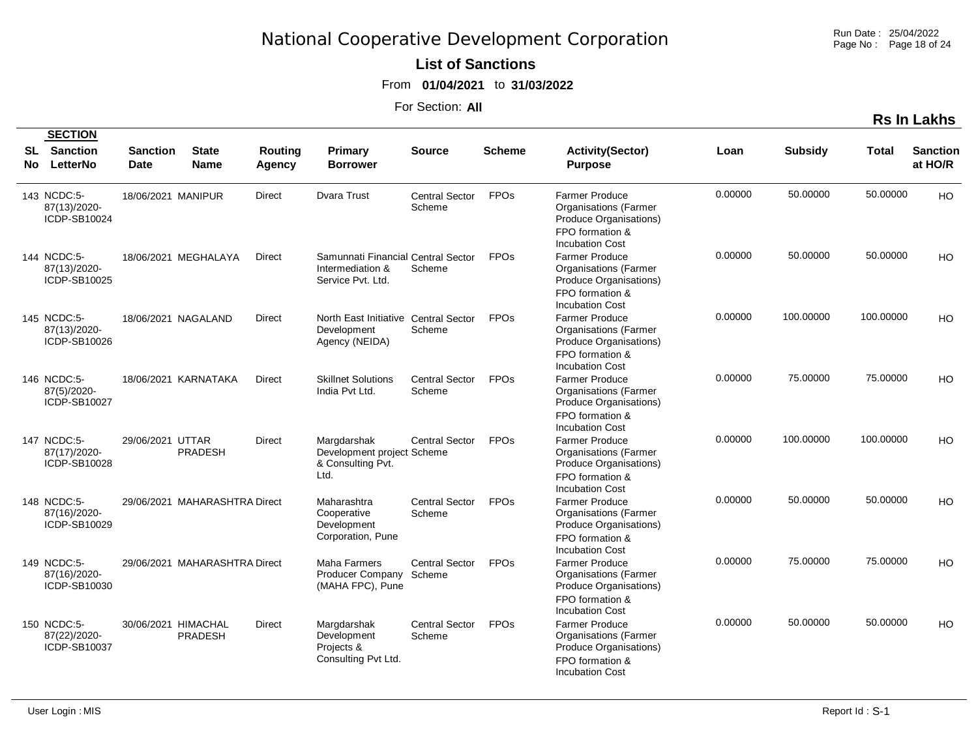Run Date : 25/04/2022 Page No : Page 18 of 24

#### **List of Sanctions**

From **01/04/2021** to **31/03/2022**

For Section: **All**

|            | <b>SECTION</b>                              |                                |                                       |                          |                                                                             |                                 |                        |                                                                                                                              |         |                |           |                            |
|------------|---------------------------------------------|--------------------------------|---------------------------------------|--------------------------|-----------------------------------------------------------------------------|---------------------------------|------------------------|------------------------------------------------------------------------------------------------------------------------------|---------|----------------|-----------|----------------------------|
| SL<br>No l | Sanction<br>LetterNo                        | <b>Sanction</b><br><b>Date</b> | <b>State</b><br><b>Name</b>           | <b>Routing</b><br>Agency | Primary<br><b>Borrower</b>                                                  | <b>Source</b>                   | <b>Scheme</b>          | <b>Activity(Sector)</b><br><b>Purpose</b>                                                                                    | Loan    | <b>Subsidy</b> | Total     | <b>Sanction</b><br>at HO/R |
|            | 143 NCDC:5-<br>87(13)/2020-<br>ICDP-SB10024 | 18/06/2021 MANIPUR             |                                       | Direct                   | <b>Dvara Trust</b>                                                          | <b>Central Sector</b><br>Scheme | <b>FPOs</b>            | <b>Farmer Produce</b><br><b>Organisations (Farmer</b><br>Produce Organisations)<br>FPO formation &<br><b>Incubation Cost</b> | 0.00000 | 50.00000       | 50.00000  | HO                         |
|            | 144 NCDC:5-<br>87(13)/2020-<br>ICDP-SB10025 |                                | 18/06/2021 MEGHALAYA                  | <b>Direct</b>            | Samunnati Financial Central Sector<br>Intermediation &<br>Service Pvt. Ltd. | Scheme                          | <b>FPOs</b>            | <b>Farmer Produce</b><br><b>Organisations (Farmer</b><br>Produce Organisations)<br>FPO formation &<br><b>Incubation Cost</b> | 0.00000 | 50.00000       | 50.00000  | HO                         |
|            | 145 NCDC:5-<br>87(13)/2020-<br>ICDP-SB10026 |                                | 18/06/2021 NAGALAND                   | Direct                   | North East Initiative Central Sector<br>Development<br>Agency (NEIDA)       | Scheme                          | <b>FPO<sub>s</sub></b> | <b>Farmer Produce</b><br><b>Organisations (Farmer</b><br>Produce Organisations)<br>FPO formation &<br><b>Incubation Cost</b> | 0.00000 | 100.00000      | 100.00000 | HO                         |
|            | 146 NCDC:5-<br>87(5)/2020-<br>ICDP-SB10027  |                                | 18/06/2021 KARNATAKA                  | <b>Direct</b>            | <b>Skillnet Solutions</b><br>India Pvt Ltd.                                 | <b>Central Sector</b><br>Scheme | <b>FPOs</b>            | <b>Farmer Produce</b><br><b>Organisations (Farmer</b><br>Produce Organisations)<br>FPO formation &<br><b>Incubation Cost</b> | 0.00000 | 75.00000       | 75.00000  | HO                         |
|            | 147 NCDC:5-<br>87(17)/2020-<br>ICDP-SB10028 | 29/06/2021 UTTAR               | <b>PRADESH</b>                        | <b>Direct</b>            | Margdarshak<br>Development project Scheme<br>& Consulting Pvt.<br>Ltd.      | <b>Central Sector</b>           | <b>FPOs</b>            | <b>Farmer Produce</b><br><b>Organisations (Farmer</b><br>Produce Organisations)<br>FPO formation &<br><b>Incubation Cost</b> | 0.00000 | 100.00000      | 100.00000 | HO                         |
|            | 148 NCDC:5-<br>87(16)/2020-<br>ICDP-SB10029 |                                | 29/06/2021 MAHARASHTRA Direct         |                          | Maharashtra<br>Cooperative<br>Development<br>Corporation, Pune              | <b>Central Sector</b><br>Scheme | <b>FPOs</b>            | <b>Farmer Produce</b><br><b>Organisations (Farmer</b><br>Produce Organisations)<br>FPO formation &<br><b>Incubation Cost</b> | 0.00000 | 50.00000       | 50.00000  | HO                         |
|            | 149 NCDC:5-<br>87(16)/2020-<br>ICDP-SB10030 |                                | 29/06/2021 MAHARASHTRA Direct         |                          | <b>Maha Farmers</b><br>Producer Company<br>(MAHA FPC), Pune                 | <b>Central Sector</b><br>Scheme | <b>FPOs</b>            | <b>Farmer Produce</b><br><b>Organisations (Farmer</b><br>Produce Organisations)<br>FPO formation &<br><b>Incubation Cost</b> | 0.00000 | 75.00000       | 75.00000  | HO                         |
|            | 150 NCDC:5-<br>87(22)/2020-<br>ICDP-SB10037 |                                | 30/06/2021 HIMACHAL<br><b>PRADESH</b> | Direct                   | Margdarshak<br>Development<br>Projects &<br>Consulting Pvt Ltd.             | <b>Central Sector</b><br>Scheme | <b>FPOs</b>            | <b>Farmer Produce</b><br><b>Organisations (Farmer</b><br>Produce Organisations)<br>FPO formation &<br><b>Incubation Cost</b> | 0.00000 | 50.00000       | 50.00000  | HO                         |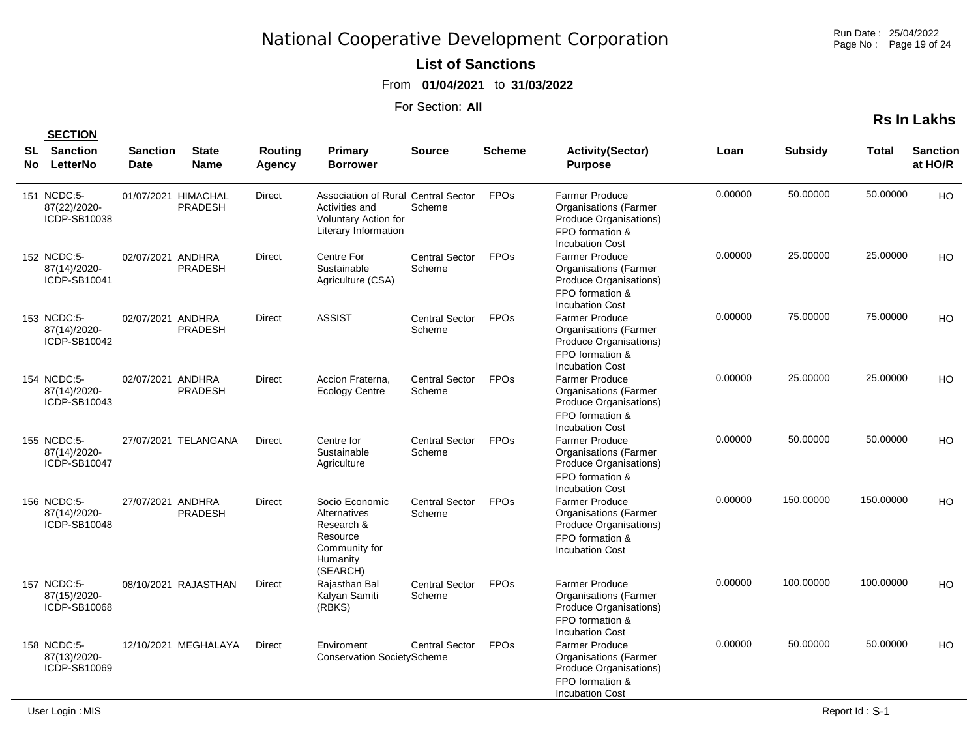Run Date : 25/04/2022 Page No : Page 19 of 24

#### **List of Sanctions**

From **01/04/2021** to **31/03/2022**

For Section: **All**

|          | <b>SECTION</b>                              |                                |                                       |                   |                                                                                                                     |                                 |                        |                                                                                                                                                        |         |                |              |                            |
|----------|---------------------------------------------|--------------------------------|---------------------------------------|-------------------|---------------------------------------------------------------------------------------------------------------------|---------------------------------|------------------------|--------------------------------------------------------------------------------------------------------------------------------------------------------|---------|----------------|--------------|----------------------------|
| SL<br>No | <b>Sanction</b><br>LetterNo                 | <b>Sanction</b><br><b>Date</b> | <b>State</b><br><b>Name</b>           | Routing<br>Agency | Primary<br><b>Borrower</b>                                                                                          | <b>Source</b>                   | <b>Scheme</b>          | <b>Activity(Sector)</b><br><b>Purpose</b>                                                                                                              | Loan    | <b>Subsidy</b> | <b>Total</b> | <b>Sanction</b><br>at HO/R |
|          | 151 NCDC:5-<br>87(22)/2020-<br>ICDP-SB10038 |                                | 01/07/2021 HIMACHAL<br><b>PRADESH</b> | <b>Direct</b>     | Association of Rural Central Sector<br>Activities and<br><b>Voluntary Action for</b><br><b>Literary Information</b> | Scheme                          | <b>FPOs</b>            | <b>Farmer Produce</b><br><b>Organisations (Farmer</b><br>Produce Organisations)<br>FPO formation &<br><b>Incubation Cost</b>                           | 0.00000 | 50.00000       | 50.00000     | HO                         |
|          | 152 NCDC:5-<br>87(14)/2020-<br>ICDP-SB10041 | 02/07/2021 ANDHRA              | <b>PRADESH</b>                        | <b>Direct</b>     | Centre For<br>Sustainable<br>Agriculture (CSA)                                                                      | <b>Central Sector</b><br>Scheme | <b>FPOs</b>            | <b>Farmer Produce</b><br><b>Organisations (Farmer</b><br>Produce Organisations)                                                                        | 0.00000 | 25.00000       | 25.00000     | HO                         |
|          | 153 NCDC:5-<br>87(14)/2020-<br>ICDP-SB10042 | 02/07/2021 ANDHRA              | <b>PRADESH</b>                        | Direct            | <b>ASSIST</b>                                                                                                       | <b>Central Sector</b><br>Scheme | <b>FPO<sub>s</sub></b> | FPO formation &<br><b>Incubation Cost</b><br><b>Farmer Produce</b><br><b>Organisations (Farmer</b><br>Produce Organisations)                           | 0.00000 | 75.00000       | 75.00000     | HO                         |
|          | 154 NCDC:5-<br>87(14)/2020-<br>ICDP-SB10043 | 02/07/2021 ANDHRA              | <b>PRADESH</b>                        | <b>Direct</b>     | Accion Fraterna.<br><b>Ecology Centre</b>                                                                           | <b>Central Sector</b><br>Scheme | <b>FPOs</b>            | FPO formation &<br><b>Incubation Cost</b><br><b>Farmer Produce</b><br><b>Organisations (Farmer</b><br>Produce Organisations)                           | 0.00000 | 25.00000       | 25.00000     | HO                         |
|          | 155 NCDC:5-<br>87(14)/2020-<br>ICDP-SB10047 |                                | 27/07/2021 TELANGANA                  | Direct            | Centre for<br>Sustainable<br>Agriculture                                                                            | <b>Central Sector</b><br>Scheme | <b>FPOs</b>            | FPO formation &<br><b>Incubation Cost</b><br><b>Farmer Produce</b><br><b>Organisations (Farmer</b><br>Produce Organisations)<br>FPO formation &        | 0.00000 | 50.00000       | 50.00000     | HO                         |
|          | 156 NCDC:5-<br>87(14)/2020-<br>ICDP-SB10048 | 27/07/2021 ANDHRA              | <b>PRADESH</b>                        | Direct            | Socio Economic<br>Alternatives<br>Research &<br>Resource<br>Community for<br>Humanity                               | <b>Central Sector</b><br>Scheme | <b>FPOs</b>            | <b>Incubation Cost</b><br><b>Farmer Produce</b><br><b>Organisations (Farmer</b><br>Produce Organisations)<br>FPO formation &<br><b>Incubation Cost</b> | 0.00000 | 150.00000      | 150.00000    | HO                         |
|          | 157 NCDC:5-<br>87(15)/2020-<br>ICDP-SB10068 |                                | 08/10/2021 RAJASTHAN                  | Direct            | (SEARCH)<br>Rajasthan Bal<br>Kalyan Samiti<br>(RBKS)                                                                | <b>Central Sector</b><br>Scheme | <b>FPO<sub>s</sub></b> | <b>Farmer Produce</b><br><b>Organisations (Farmer</b><br>Produce Organisations)<br>FPO formation &<br><b>Incubation Cost</b>                           | 0.00000 | 100.00000      | 100.00000    | HO                         |
|          | 158 NCDC:5-<br>87(13)/2020-<br>ICDP-SB10069 |                                | 12/10/2021 MEGHALAYA                  | Direct            | Enviroment<br><b>Conservation SocietyScheme</b>                                                                     | <b>Central Sector</b>           | <b>FPOs</b>            | <b>Farmer Produce</b><br><b>Organisations (Farmer</b><br>Produce Organisations)<br>FPO formation &<br><b>Incubation Cost</b>                           | 0.00000 | 50.00000       | 50.00000     | HO                         |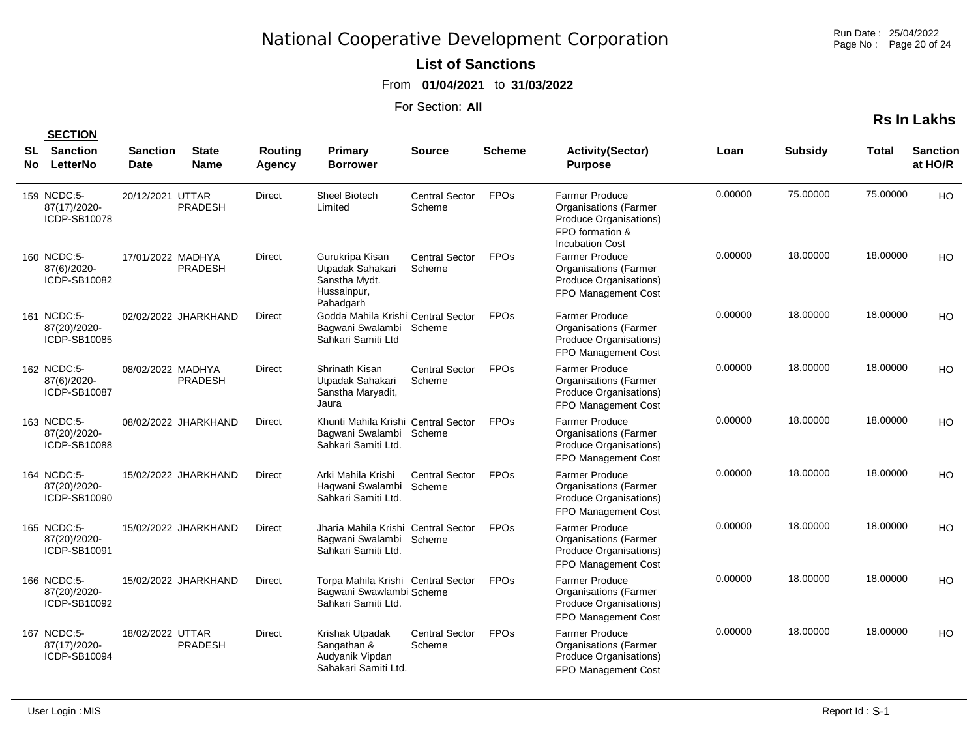Run Date : 25/04/2022 Page No : Page 20 of 24

**List of Sanctions** 

From **01/04/2021** to **31/03/2022**

For Section: **All**

|           | <b>SECTION</b>                              |                         |                             |                          |                                                                                       |                                 |                        |                                                                                                                              |         |                |          |                            |
|-----------|---------------------------------------------|-------------------------|-----------------------------|--------------------------|---------------------------------------------------------------------------------------|---------------------------------|------------------------|------------------------------------------------------------------------------------------------------------------------------|---------|----------------|----------|----------------------------|
| SL<br>No. | <b>Sanction</b><br>LetterNo                 | <b>Sanction</b><br>Date | <b>State</b><br><b>Name</b> | <b>Routing</b><br>Agency | Primary<br><b>Borrower</b>                                                            | <b>Source</b>                   | <b>Scheme</b>          | <b>Activity(Sector)</b><br><b>Purpose</b>                                                                                    | Loan    | <b>Subsidy</b> | Total    | <b>Sanction</b><br>at HO/R |
|           | 159 NCDC:5-<br>87(17)/2020-<br>ICDP-SB10078 | 20/12/2021 UTTAR        | <b>PRADESH</b>              | <b>Direct</b>            | Sheel Biotech<br>Limited                                                              | <b>Central Sector</b><br>Scheme | <b>FPO<sub>s</sub></b> | <b>Farmer Produce</b><br><b>Organisations (Farmer</b><br>Produce Organisations)<br>FPO formation &<br><b>Incubation Cost</b> | 0.00000 | 75.00000       | 75.00000 | HO                         |
|           | 160 NCDC:5-<br>87(6)/2020-<br>ICDP-SB10082  | 17/01/2022 MADHYA       | <b>PRADESH</b>              | <b>Direct</b>            | Gurukripa Kisan<br>Utpadak Sahakari<br>Sanstha Mydt.<br>Hussainpur,<br>Pahadgarh      | <b>Central Sector</b><br>Scheme | <b>FPO<sub>s</sub></b> | <b>Farmer Produce</b><br><b>Organisations (Farmer</b><br>Produce Organisations)<br>FPO Management Cost                       | 0.00000 | 18.00000       | 18.00000 | HO                         |
|           | 161 NCDC:5-<br>87(20)/2020-<br>ICDP-SB10085 |                         | 02/02/2022 JHARKHAND        | <b>Direct</b>            | Godda Mahila Krishi Central Sector<br>Bagwani Swalambi Scheme<br>Sahkari Samiti Ltd   |                                 | <b>FPOs</b>            | <b>Farmer Produce</b><br><b>Organisations (Farmer</b><br>Produce Organisations)<br>FPO Management Cost                       | 0.00000 | 18.00000       | 18.00000 | HO                         |
|           | 162 NCDC:5-<br>87(6)/2020-<br>ICDP-SB10087  | 08/02/2022 MADHYA       | <b>PRADESH</b>              | <b>Direct</b>            | Shrinath Kisan<br>Utpadak Sahakari<br>Sanstha Maryadit,<br>Jaura                      | <b>Central Sector</b><br>Scheme | <b>FPOs</b>            | <b>Farmer Produce</b><br><b>Organisations (Farmer</b><br>Produce Organisations)<br>FPO Management Cost                       | 0.00000 | 18.00000       | 18.00000 | HO                         |
|           | 163 NCDC:5-<br>87(20)/2020-<br>ICDP-SB10088 |                         | 08/02/2022 JHARKHAND        | Direct                   | Khunti Mahila Krishi Central Sector<br>Bagwani Swalambi<br>Sahkari Samiti Ltd.        | Scheme                          | <b>FPOs</b>            | <b>Farmer Produce</b><br><b>Organisations (Farmer</b><br>Produce Organisations)<br>FPO Management Cost                       | 0.00000 | 18.00000       | 18.00000 | HO                         |
|           | 164 NCDC:5-<br>87(20)/2020-<br>ICDP-SB10090 |                         | 15/02/2022 JHARKHAND        | <b>Direct</b>            | Arki Mahila Krishi<br>Hagwani Swalambi<br>Sahkari Samiti Ltd.                         | Central Sector<br>Scheme        | <b>FPO<sub>s</sub></b> | <b>Farmer Produce</b><br><b>Organisations (Farmer</b><br>Produce Organisations)<br>FPO Management Cost                       | 0.00000 | 18.00000       | 18.00000 | HO                         |
|           | 165 NCDC:5-<br>87(20)/2020-<br>ICDP-SB10091 |                         | 15/02/2022 JHARKHAND        | <b>Direct</b>            | Jharia Mahila Krishi Central Sector<br>Bagwani Swalambi<br>Sahkari Samiti Ltd.        | Scheme                          | <b>FPOs</b>            | <b>Farmer Produce</b><br><b>Organisations (Farmer</b><br>Produce Organisations)<br>FPO Management Cost                       | 0.00000 | 18.00000       | 18.00000 | HO                         |
|           | 166 NCDC:5-<br>87(20)/2020-<br>ICDP-SB10092 |                         | 15/02/2022 JHARKHAND        | <b>Direct</b>            | Torpa Mahila Krishi Central Sector<br>Bagwani Swawlambi Scheme<br>Sahkari Samiti Ltd. |                                 | <b>FPOs</b>            | Farmer Produce<br><b>Organisations (Farmer</b><br>Produce Organisations)<br>FPO Management Cost                              | 0.00000 | 18.00000       | 18.00000 | HO                         |
|           | 167 NCDC:5-<br>87(17)/2020-<br>ICDP-SB10094 | 18/02/2022 UTTAR        | <b>PRADESH</b>              | <b>Direct</b>            | Krishak Utpadak<br>Sangathan &<br>Audyanik Vipdan<br>Sahakari Samiti Ltd.             | <b>Central Sector</b><br>Scheme | <b>FPOs</b>            | Farmer Produce<br><b>Organisations (Farmer</b><br>Produce Organisations)<br>FPO Management Cost                              | 0.00000 | 18.00000       | 18.00000 | HO                         |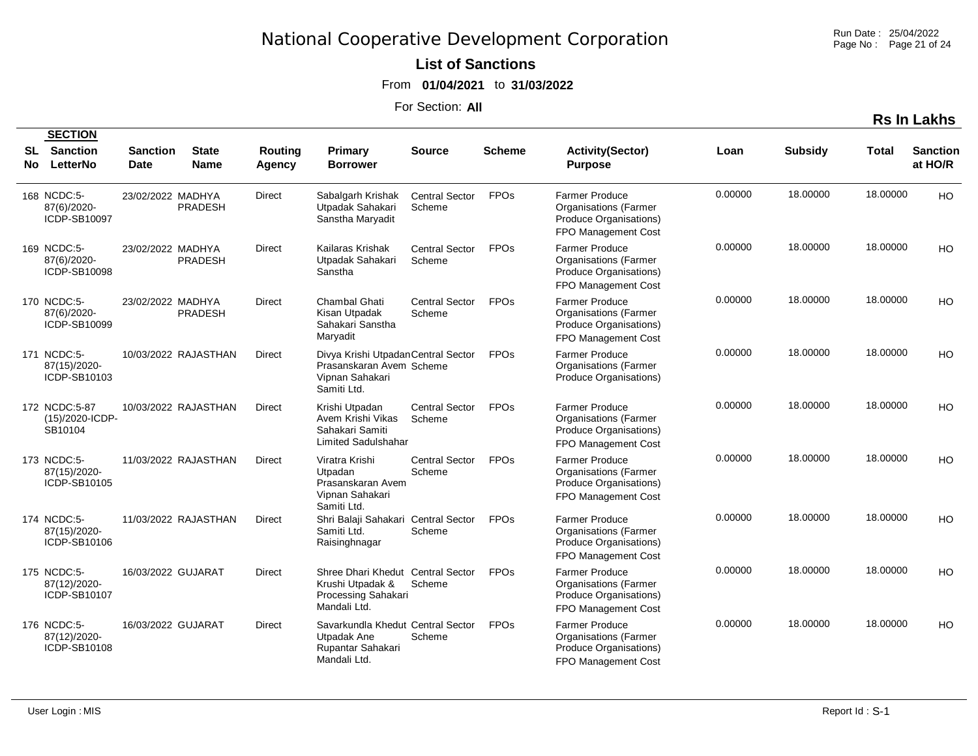Run Date : 25/04/2022 Page No : Page 21 of 24

#### **List of Sanctions**

From **01/04/2021** to **31/03/2022**

For Section: **All**

|     | <b>SECTION</b>                              |                                |                             |                          |                                                                                                   |                                 |               |                                                                                                        |         |                |          |                            |
|-----|---------------------------------------------|--------------------------------|-----------------------------|--------------------------|---------------------------------------------------------------------------------------------------|---------------------------------|---------------|--------------------------------------------------------------------------------------------------------|---------|----------------|----------|----------------------------|
| No. | <b>SL</b> Sanction<br>LetterNo              | <b>Sanction</b><br><b>Date</b> | <b>State</b><br><b>Name</b> | <b>Routing</b><br>Agency | <b>Primary</b><br>Borrower                                                                        | <b>Source</b>                   | <b>Scheme</b> | <b>Activity(Sector)</b><br><b>Purpose</b>                                                              | Loan    | <b>Subsidy</b> | Total    | <b>Sanction</b><br>at HO/R |
|     | 168 NCDC:5-<br>87(6)/2020-<br>ICDP-SB10097  | 23/02/2022 MADHYA              | <b>PRADESH</b>              | <b>Direct</b>            | Sabalgarh Krishak<br>Utpadak Sahakari<br>Sanstha Maryadit                                         | <b>Central Sector</b><br>Scheme | <b>FPOs</b>   | <b>Farmer Produce</b><br><b>Organisations (Farmer</b><br>Produce Organisations)<br>FPO Management Cost | 0.00000 | 18.00000       | 18.00000 | <b>HO</b>                  |
|     | 169 NCDC:5-<br>87(6)/2020-<br>ICDP-SB10098  | 23/02/2022 MADHYA              | <b>PRADESH</b>              | <b>Direct</b>            | Kailaras Krishak<br>Utpadak Sahakari<br>Sanstha                                                   | <b>Central Sector</b><br>Scheme | <b>FPOs</b>   | <b>Farmer Produce</b><br><b>Organisations (Farmer</b><br>Produce Organisations)<br>FPO Management Cost | 0.00000 | 18,00000       | 18.00000 | H <sub>O</sub>             |
|     | 170 NCDC:5-<br>87(6)/2020-<br>ICDP-SB10099  | 23/02/2022 MADHYA              | <b>PRADESH</b>              | <b>Direct</b>            | Chambal Ghati<br>Kisan Utpadak<br>Sahakari Sanstha<br>Maryadit                                    | <b>Central Sector</b><br>Scheme | <b>FPOs</b>   | <b>Farmer Produce</b><br><b>Organisations (Farmer</b><br>Produce Organisations)<br>FPO Management Cost | 0.00000 | 18.00000       | 18.00000 | <b>HO</b>                  |
|     | 171 NCDC:5-<br>87(15)/2020-<br>ICDP-SB10103 |                                | 10/03/2022 RAJASTHAN        | Direct                   | Divya Krishi Utpadan Central Sector<br>Prasanskaran Avem Scheme<br>Vipnan Sahakari<br>Samiti Ltd. |                                 | <b>FPOs</b>   | <b>Farmer Produce</b><br><b>Organisations (Farmer</b><br>Produce Organisations)                        | 0.00000 | 18.00000       | 18.00000 | H <sub>O</sub>             |
|     | 172 NCDC:5-87<br>(15)/2020-ICDP-<br>SB10104 |                                | 10/03/2022 RAJASTHAN        | <b>Direct</b>            | Krishi Utpadan<br>Avem Krishi Vikas<br>Sahakari Samiti<br><b>Limited Sadulshahar</b>              | <b>Central Sector</b><br>Scheme | <b>FPOs</b>   | <b>Farmer Produce</b><br><b>Organisations (Farmer</b><br>Produce Organisations)<br>FPO Management Cost | 0.00000 | 18.00000       | 18.00000 | HO                         |
|     | 173 NCDC:5-<br>87(15)/2020-<br>ICDP-SB10105 |                                | 11/03/2022 RAJASTHAN        | <b>Direct</b>            | Viratra Krishi<br>Utpadan<br>Prasanskaran Avem<br>Vipnan Sahakari<br>Samiti Ltd.                  | <b>Central Sector</b><br>Scheme | <b>FPOs</b>   | <b>Farmer Produce</b><br><b>Organisations (Farmer</b><br>Produce Organisations)<br>FPO Management Cost | 0.00000 | 18,00000       | 18.00000 | H <sub>O</sub>             |
|     | 174 NCDC:5-<br>87(15)/2020-<br>ICDP-SB10106 |                                | 11/03/2022 RAJASTHAN        | <b>Direct</b>            | Shri Balaji Sahakari Central Sector<br>Samiti Ltd.<br>Raisinghnagar                               | Scheme                          | <b>FPOs</b>   | <b>Farmer Produce</b><br><b>Organisations (Farmer</b><br>Produce Organisations)<br>FPO Management Cost | 0.00000 | 18.00000       | 18.00000 | HO.                        |
|     | 175 NCDC:5-<br>87(12)/2020-<br>ICDP-SB10107 | 16/03/2022 GUJARAT             |                             | <b>Direct</b>            | Shree Dhari Khedut Central Sector<br>Krushi Utpadak &<br>Processing Sahakari<br>Mandali Ltd.      | Scheme                          | <b>FPOs</b>   | <b>Farmer Produce</b><br><b>Organisations</b> (Farmer<br>Produce Organisations)<br>FPO Management Cost | 0.00000 | 18.00000       | 18.00000 | HO                         |
|     | 176 NCDC:5-<br>87(12)/2020-<br>ICDP-SB10108 | 16/03/2022 GUJARAT             |                             | Direct                   | Savarkundla Khedut Central Sector<br>Utpadak Ane<br>Rupantar Sahakari<br>Mandali Ltd.             | Scheme                          | <b>FPOs</b>   | <b>Farmer Produce</b><br><b>Organisations (Farmer</b><br>Produce Organisations)<br>FPO Management Cost | 0.00000 | 18,00000       | 18.00000 | H <sub>O</sub>             |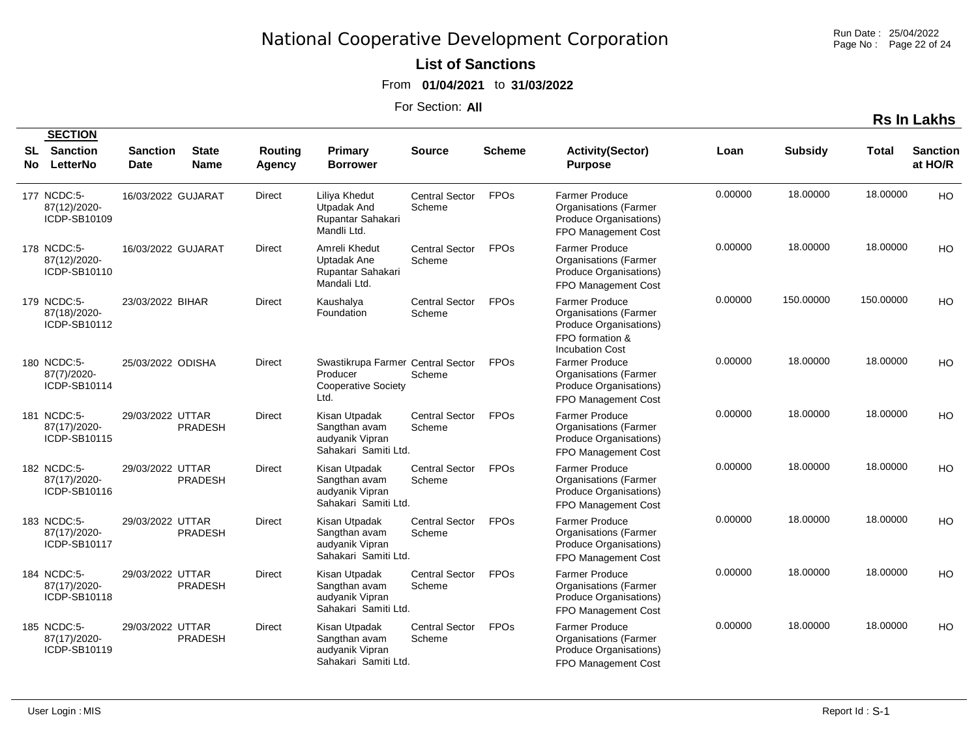Run Date : 25/04/2022 Page No : Page 22 of 24

#### **List of Sanctions**

From **01/04/2021** to **31/03/2022**

For Section: **All**

|            | <b>SECTION</b>                              |                                |                             |                   |                                                                                     |                                 |               |                                                                                                                              |         |                |           |                            |
|------------|---------------------------------------------|--------------------------------|-----------------------------|-------------------|-------------------------------------------------------------------------------------|---------------------------------|---------------|------------------------------------------------------------------------------------------------------------------------------|---------|----------------|-----------|----------------------------|
| SL.<br>No. | <b>Sanction</b><br>LetterNo                 | <b>Sanction</b><br><b>Date</b> | <b>State</b><br><b>Name</b> | Routing<br>Agency | Primary<br><b>Borrower</b>                                                          | Source                          | <b>Scheme</b> | <b>Activity(Sector)</b><br><b>Purpose</b>                                                                                    | Loan    | <b>Subsidy</b> | Total     | <b>Sanction</b><br>at HO/R |
|            | 177 NCDC:5-<br>87(12)/2020-<br>ICDP-SB10109 | 16/03/2022 GUJARAT             |                             | Direct            | Liliya Khedut<br><b>Utpadak And</b><br>Rupantar Sahakari<br>Mandli Ltd.             | <b>Central Sector</b><br>Scheme | <b>FPOs</b>   | <b>Farmer Produce</b><br><b>Organisations (Farmer</b><br>Produce Organisations)<br>FPO Management Cost                       | 0.00000 | 18.00000       | 18.00000  | <b>HO</b>                  |
|            | 178 NCDC:5-<br>87(12)/2020-<br>ICDP-SB10110 | 16/03/2022 GUJARAT             |                             | Direct            | Amreli Khedut<br>Uptadak Ane<br>Rupantar Sahakari<br>Mandali Ltd.                   | <b>Central Sector</b><br>Scheme | <b>FPOs</b>   | <b>Farmer Produce</b><br><b>Organisations (Farmer</b><br>Produce Organisations)<br>FPO Management Cost                       | 0.00000 | 18.00000       | 18.00000  | HO                         |
|            | 179 NCDC:5-<br>87(18)/2020-<br>ICDP-SB10112 | 23/03/2022 BIHAR               |                             | Direct            | Kaushalya<br>Foundation                                                             | <b>Central Sector</b><br>Scheme | <b>FPOs</b>   | <b>Farmer Produce</b><br><b>Organisations (Farmer</b><br>Produce Organisations)<br>FPO formation &<br><b>Incubation Cost</b> | 0.00000 | 150.00000      | 150.00000 | HO                         |
|            | 180 NCDC:5-<br>87(7)/2020-<br>ICDP-SB10114  | 25/03/2022 ODISHA              |                             | Direct            | Swastikrupa Farmer Central Sector<br>Producer<br><b>Cooperative Society</b><br>Ltd. | Scheme                          | <b>FPOs</b>   | <b>Farmer Produce</b><br><b>Organisations</b> (Farmer<br>Produce Organisations)<br>FPO Management Cost                       | 0.00000 | 18.00000       | 18.00000  | HO                         |
|            | 181 NCDC:5-<br>87(17)/2020-<br>ICDP-SB10115 | 29/03/2022 UTTAR               | <b>PRADESH</b>              | Direct            | Kisan Utpadak<br>Sangthan avam<br>audyanik Vipran<br>Sahakari Samiti Ltd.           | <b>Central Sector</b><br>Scheme | <b>FPOs</b>   | <b>Farmer Produce</b><br><b>Organisations (Farmer</b><br>Produce Organisations)<br>FPO Management Cost                       | 0.00000 | 18.00000       | 18.00000  | HO                         |
|            | 182 NCDC:5-<br>87(17)/2020-<br>ICDP-SB10116 | 29/03/2022 UTTAR               | <b>PRADESH</b>              | <b>Direct</b>     | Kisan Utpadak<br>Sangthan avam<br>audyanik Vipran<br>Sahakari Samiti Ltd.           | <b>Central Sector</b><br>Scheme | <b>FPOs</b>   | <b>Farmer Produce</b><br><b>Organisations (Farmer</b><br>Produce Organisations)<br>FPO Management Cost                       | 0.00000 | 18.00000       | 18.00000  | HO                         |
|            | 183 NCDC:5-<br>87(17)/2020-<br>ICDP-SB10117 | 29/03/2022 UTTAR               | <b>PRADESH</b>              | <b>Direct</b>     | Kisan Utpadak<br>Sangthan avam<br>audyanik Vipran<br>Sahakari Samiti Ltd.           | <b>Central Sector</b><br>Scheme | <b>FPOs</b>   | <b>Farmer Produce</b><br><b>Organisations (Farmer</b><br>Produce Organisations)<br>FPO Management Cost                       | 0.00000 | 18.00000       | 18.00000  | HO                         |
|            | 184 NCDC:5-<br>87(17)/2020-<br>ICDP-SB10118 | 29/03/2022 UTTAR               | <b>PRADESH</b>              | <b>Direct</b>     | Kisan Utpadak<br>Sangthan avam<br>audyanik Vipran<br>Sahakari Samiti Ltd.           | <b>Central Sector</b><br>Scheme | <b>FPOs</b>   | <b>Farmer Produce</b><br><b>Organisations (Farmer</b><br>Produce Organisations)<br>FPO Management Cost                       | 0.00000 | 18.00000       | 18.00000  | HO                         |
|            | 185 NCDC:5-<br>87(17)/2020-<br>ICDP-SB10119 | 29/03/2022 UTTAR               | <b>PRADESH</b>              | <b>Direct</b>     | Kisan Utpadak<br>Sangthan avam<br>audyanik Vipran<br>Sahakari Samiti Ltd.           | <b>Central Sector</b><br>Scheme | <b>FPOs</b>   | <b>Farmer Produce</b><br><b>Organisations (Farmer</b><br>Produce Organisations)<br>FPO Management Cost                       | 0.00000 | 18.00000       | 18.00000  | HO                         |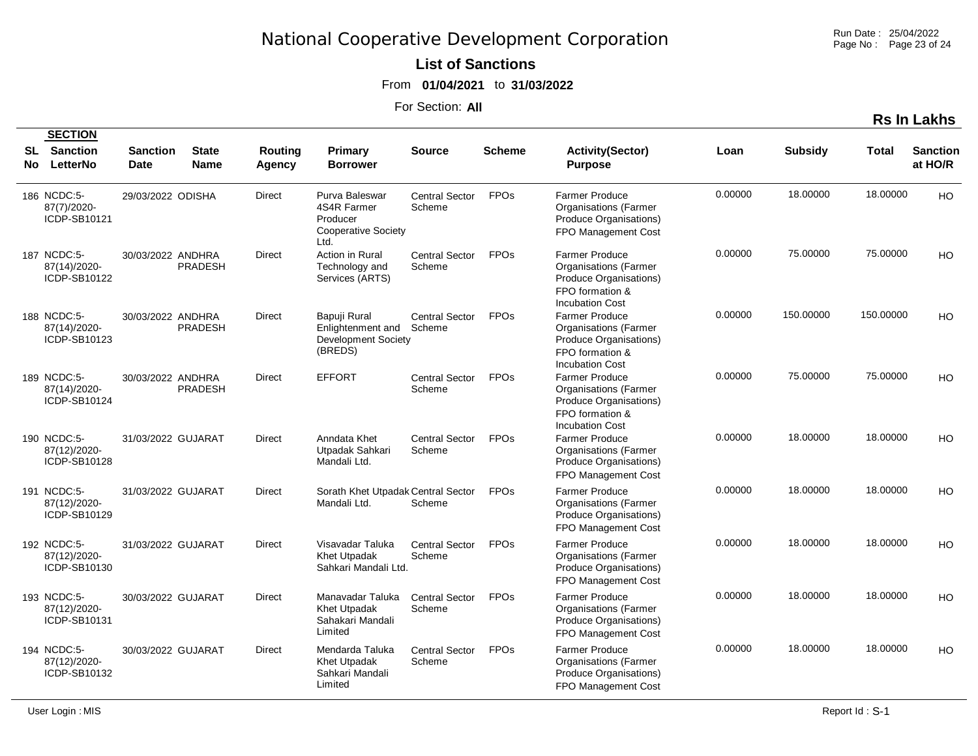Run Date : 25/04/2022 Page No : Page 23 of 24

#### **List of Sanctions**

From **01/04/2021** to **31/03/2022**

For Section: **All**

**Rs In Lakhs**

|    | <b>SECTION</b>                              |                                |                             |                   |                                                                            |                                 |                        |                                                                                                                              |         |                |           |                            |
|----|---------------------------------------------|--------------------------------|-----------------------------|-------------------|----------------------------------------------------------------------------|---------------------------------|------------------------|------------------------------------------------------------------------------------------------------------------------------|---------|----------------|-----------|----------------------------|
| No | <b>SL</b> Sanction<br>LetterNo              | <b>Sanction</b><br><b>Date</b> | <b>State</b><br><b>Name</b> | Routing<br>Agency | <b>Primary</b><br><b>Borrower</b>                                          | <b>Source</b>                   | <b>Scheme</b>          | <b>Activity(Sector)</b><br><b>Purpose</b>                                                                                    | Loan    | <b>Subsidy</b> | Total     | <b>Sanction</b><br>at HO/R |
|    | 186 NCDC:5-<br>87(7)/2020-<br>ICDP-SB10121  | 29/03/2022 ODISHA              |                             | <b>Direct</b>     | Purva Baleswar<br>4S4R Farmer<br>Producer<br>Cooperative Society<br>Ltd.   | <b>Central Sector</b><br>Scheme | <b>FPOs</b>            | <b>Farmer Produce</b><br><b>Organisations (Farmer</b><br>Produce Organisations)<br>FPO Management Cost                       | 0.00000 | 18.00000       | 18.00000  | <b>HO</b>                  |
|    | 187 NCDC:5-<br>87(14)/2020-<br>ICDP-SB10122 | 30/03/2022 ANDHRA              | <b>PRADESH</b>              | <b>Direct</b>     | Action in Rural<br>Technology and<br>Services (ARTS)                       | <b>Central Sector</b><br>Scheme | <b>FPOs</b>            | <b>Farmer Produce</b><br><b>Organisations (Farmer</b><br>Produce Organisations)<br>FPO formation &<br><b>Incubation Cost</b> | 0.00000 | 75.00000       | 75.00000  | <b>HO</b>                  |
|    | 188 NCDC:5-<br>87(14)/2020-<br>ICDP-SB10123 | 30/03/2022 ANDHRA              | PRADESH                     | <b>Direct</b>     | Bapuji Rural<br>Enlightenment and<br><b>Development Society</b><br>(BREDS) | <b>Central Sector</b><br>Scheme | <b>FPOs</b>            | <b>Farmer Produce</b><br><b>Organisations (Farmer</b><br>Produce Organisations)<br>FPO formation &<br><b>Incubation Cost</b> | 0.00000 | 150.00000      | 150.00000 | HO                         |
|    | 189 NCDC:5-<br>87(14)/2020-<br>ICDP-SB10124 | 30/03/2022 ANDHRA              | <b>PRADESH</b>              | <b>Direct</b>     | <b>EFFORT</b>                                                              | <b>Central Sector</b><br>Scheme | <b>FPO<sub>s</sub></b> | <b>Farmer Produce</b><br><b>Organisations (Farmer</b><br>Produce Organisations)<br>FPO formation &<br><b>Incubation Cost</b> | 0.00000 | 75.00000       | 75.00000  | HO.                        |
|    | 190 NCDC:5-<br>87(12)/2020-<br>ICDP-SB10128 | 31/03/2022 GUJARAT             |                             | Direct            | Anndata Khet<br>Utpadak Sahkari<br>Mandali Ltd.                            | <b>Central Sector</b><br>Scheme | <b>FPOs</b>            | <b>Farmer Produce</b><br><b>Organisations (Farmer</b><br>Produce Organisations)<br>FPO Management Cost                       | 0.00000 | 18,00000       | 18.00000  | <b>HO</b>                  |
|    | 191 NCDC:5-<br>87(12)/2020-<br>ICDP-SB10129 | 31/03/2022 GUJARAT             |                             | <b>Direct</b>     | Sorath Khet Utpadak Central Sector<br>Mandali Ltd.                         | Scheme                          | <b>FPOs</b>            | <b>Farmer Produce</b><br><b>Organisations (Farmer</b><br>Produce Organisations)<br>FPO Management Cost                       | 0.00000 | 18,00000       | 18.00000  | <b>HO</b>                  |
|    | 192 NCDC:5-<br>87(12)/2020-<br>ICDP-SB10130 | 31/03/2022 GUJARAT             |                             | <b>Direct</b>     | Visavadar Taluka<br><b>Khet Utpadak</b><br>Sahkari Mandali Ltd.            | <b>Central Sector</b><br>Scheme | <b>FPOs</b>            | <b>Farmer Produce</b><br><b>Organisations</b> (Farmer<br>Produce Organisations)<br>FPO Management Cost                       | 0.00000 | 18.00000       | 18.00000  | <b>HO</b>                  |
|    | 193 NCDC:5-<br>87(12)/2020-<br>ICDP-SB10131 | 30/03/2022 GUJARAT             |                             | Direct            | Manavadar Taluka<br>Khet Utpadak<br>Sahakari Mandali<br>Limited            | <b>Central Sector</b><br>Scheme | <b>FPOs</b>            | <b>Farmer Produce</b><br><b>Organisations (Farmer</b><br>Produce Organisations)<br>FPO Management Cost                       | 0.00000 | 18.00000       | 18.00000  | HO                         |
|    | 194 NCDC:5-<br>87(12)/2020-<br>ICDP-SB10132 | 30/03/2022 GUJARAT             |                             | Direct            | Mendarda Taluka<br>Khet Utpadak<br>Sahkari Mandali<br>Limited              | <b>Central Sector</b><br>Scheme | <b>FPOs</b>            | <b>Farmer Produce</b><br><b>Organisations (Farmer</b><br>Produce Organisations)<br>FPO Management Cost                       | 0.00000 | 18.00000       | 18.00000  | HO.                        |

**SECTION**